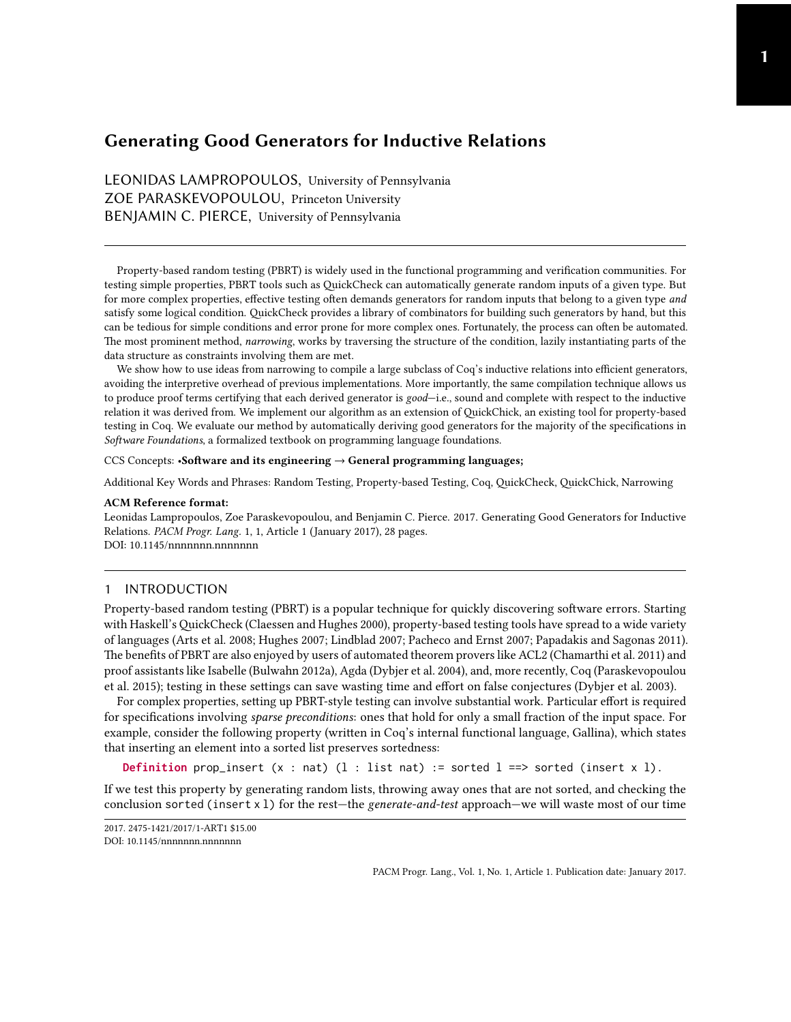# Generating Good Generators for Inductive Relations

LEONIDAS LAMPROPOULOS, University of Pennsylvania ZOE PARASKEVOPOULOU, Princeton University BENJAMIN C. PIERCE, University of Pennsylvania

Property-based random testing (PBRT) is widely used in the functional programming and verification communities. For testing simple properties, PBRT tools such as QuickCheck can automatically generate random inputs of a given type. But for more complex properties, effective testing often demands generators for random inputs that belong to a given type and satisfy some logical condition. QuickCheck provides a library of combinators for building such generators by hand, but this can be tedious for simple conditions and error prone for more complex ones. Fortunately, the process can often be automated. The most prominent method, narrowing, works by traversing the structure of the condition, lazily instantiating parts of the data structure as constraints involving them are met.

We show how to use ideas from narrowing to compile a large subclass of Coq's inductive relations into efficient generators, avoiding the interpretive overhead of previous implementations. More importantly, the same compilation technique allows us to produce proof terms certifying that each derived generator is good-i.e., sound and complete with respect to the inductive relation it was derived from. We implement our algorithm as an extension of QuickChick, an existing tool for property-based testing in Coq. We evaluate our method by automatically deriving good generators for the majority of the specifications in Software Foundations, a formalized textbook on programming language foundations.

## CCS Concepts: •Software and its engineering  $\rightarrow$  General programming languages;

Additional Key Words and Phrases: Random Testing, Property-based Testing, Coq, QuickCheck, QuickChick, Narrowing

#### ACM Reference format:

Leonidas Lampropoulos, Zoe Paraskevopoulou, and Benjamin C. Pierce. 2017. Generating Good Generators for Inductive Relations. PACM Progr. Lang. 1, 1, Article 1 (January 2017), [28](#page-27-0) pages. DOI: 10.1145/nnnnnnn.nnnnnnn

# 1 INTRODUCTION

Property-based random testing (PBRT) is a popular technique for quickly discovering software errors. Starting with Haskell's QuickCheck [\(Claessen and Hughes 2000\)](#page-26-0), property-based testing tools have spread to a wide variety of languages [\(Arts et al.](#page-25-0) [2008;](#page-25-0) [Hughes 2007;](#page-26-1) [Lindblad 2007;](#page-27-1) [Pacheco and Ernst 2007;](#page-27-2) [Papadakis and Sagonas 2011\)](#page-27-3). The benefits of PBRT are also enjoyed by users of automated theorem provers like ACL2 [\(Chamarthi et al.](#page-26-2) [2011\)](#page-26-2) and proof assistants like Isabelle [\(Bulwahn 2012a\)](#page-26-3), Agda [\(Dybjer et al.](#page-26-4) [2004\)](#page-26-4), and, more recently, Coq [\(Paraskevopoulou](#page-27-4) [et al. 2015\)](#page-27-4); testing in these settings can save wasting time and effort on false conjectures [\(Dybjer et al. 2003\)](#page-26-5).

For complex properties, setting up PBRT-style testing can involve substantial work. Particular effort is required for specifications involving sparse preconditions: ones that hold for only a small fraction of the input space. For example, consider the following property (written in Coq's internal functional language, Gallina), which states that inserting an element into a sorted list preserves sortedness:

**Definition** prop\_insert  $(x : nat)$   $(1 : list nat) := sorted 1 == x$  sorted (insert  $x 1$ ).

If we test this property by generating random lists, throwing away ones that are not sorted, and checking the conclusion sorted (insert x 1) for the rest—the generate-and-test approach—we will waste most of our time

DOI: 10.1145/nnnnnnn.nnnnnnn

<sup>2017. 2475-1421/2017/1-</sup>ART1 \$15.00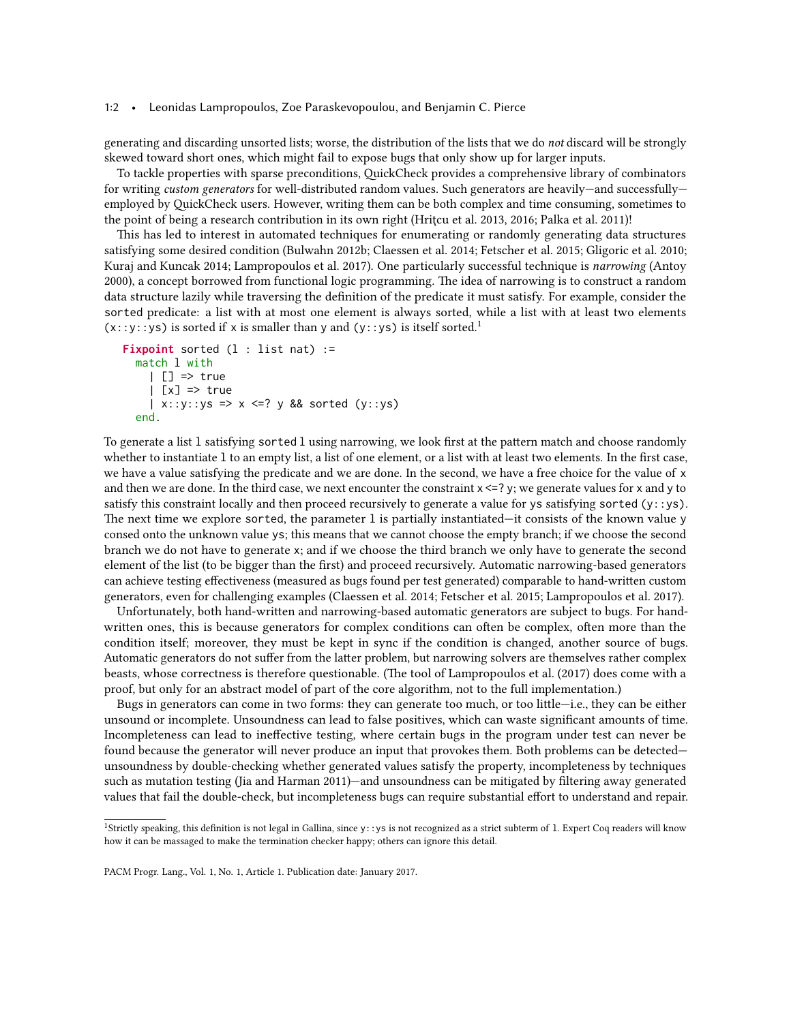#### 1:2 • Leonidas Lampropoulos, Zoe Paraskevopoulou, and Benjamin C. Pierce

generating and discarding unsorted lists; worse, the distribution of the lists that we do not discard will be strongly skewed toward short ones, which might fail to expose bugs that only show up for larger inputs.

To tackle properties with sparse preconditions, QuickCheck provides a comprehensive library of combinators for writing custom generators for well-distributed random values. Such generators are heavily—and successfully employed by QuickCheck users. However, writing them can be both complex and time consuming, sometimes to the point of being a research contribution in its own right (Hritçu et al. 2013, [2016;](#page-26-7) [Palka et al. 2011\)](#page-27-5)!

This has led to interest in automated techniques for enumerating or randomly generating data structures satisfying some desired condition [\(Bulwahn 2012b;](#page-26-8) [Claessen et al.](#page-26-9) [2014;](#page-26-9) [Fetscher et al.](#page-26-10) [2015;](#page-26-10) [Gligoric et al.](#page-26-11) [2010;](#page-26-11) [Kuraj and Kuncak 2014;](#page-26-12) [Lampropoulos et al.](#page-27-6) [2017\)](#page-27-6). One particularly successful technique is narrowing [\(Antoy](#page-25-1) [2000\)](#page-25-1), a concept borrowed from functional logic programming. The idea of narrowing is to construct a random data structure lazily while traversing the definition of the predicate it must satisfy. For example, consider the sorted predicate: a list with at most one element is always sorted, while a list with at least two elements  $(x::y:ys)$  is sorted if x is smaller than y and  $(y:ys)$  is itself sorted.<sup>[1](#page-1-0)</sup>

```
Fixpoint sorted (l : list nat) :=
  match l with
    | [] => true
     | [x] \Rightarrow true| x::y::ys \Rightarrow x \leq ? y && sorted (y::ys)end.
```
To generate a list 1 satisfying sorted 1 using narrowing, we look first at the pattern match and choose randomly whether to instantiate 1 to an empty list, a list of one element, or a list with at least two elements. In the first case, we have a value satisfying the predicate and we are done. In the second, we have a free choice for the value of x and then we are done. In the third case, we next encounter the constraint  $x \leq -2$  y; we generate values for x and y to satisfy this constraint locally and then proceed recursively to generate a value for ys satisfying sorted  $(y:ys)$ . The next time we explore sorted, the parameter  $l$  is partially instantiated—it consists of the known value  $y$ consed onto the unknown value ys; this means that we cannot choose the empty branch; if we choose the second branch we do not have to generate x; and if we choose the third branch we only have to generate the second element of the list (to be bigger than the first) and proceed recursively. Automatic narrowing-based generators can achieve testing effectiveness (measured as bugs found per test generated) comparable to hand-written custom generators, even for challenging examples [\(Claessen et al. 2014;](#page-26-9) [Fetscher et al. 2015;](#page-26-10) [Lampropoulos et al. 2017\)](#page-27-6).

Unfortunately, both hand-written and narrowing-based automatic generators are subject to bugs. For handwritten ones, this is because generators for complex conditions can often be complex, often more than the condition itself; moreover, they must be kept in sync if the condition is changed, another source of bugs. Automatic generators do not suffer from the latter problem, but narrowing solvers are themselves rather complex beasts, whose correctness is therefore questionable. (The tool of [Lampropoulos et al.](#page-27-6) [\(2017\)](#page-27-6) does come with a proof, but only for an abstract model of part of the core algorithm, not to the full implementation.)

Bugs in generators can come in two forms: they can generate too much, or too little—i.e., they can be either unsound or incomplete. Unsoundness can lead to false positives, which can waste signicant amounts of time. Incompleteness can lead to ineffective testing, where certain bugs in the program under test can never be found because the generator will never produce an input that provokes them. Both problems can be detected unsoundness by double-checking whether generated values satisfy the property, incompleteness by techniques such as mutation testing [\(Jia and Harman 2011\)](#page-26-13)—and unsoundness can be mitigated by filtering away generated values that fail the double-check, but incompleteness bugs can require substantial effort to understand and repair.

<span id="page-1-0"></span><sup>&</sup>lt;sup>1</sup>Strictly speaking, this definition is not legal in Gallina, since y:: ys is not recognized as a strict subterm of 1. Expert Coq readers will know how it can be massaged to make the termination checker happy; others can ignore this detail.

PACM Progr. Lang., Vol. 1, No. 1, Article 1. Publication date: January 2017.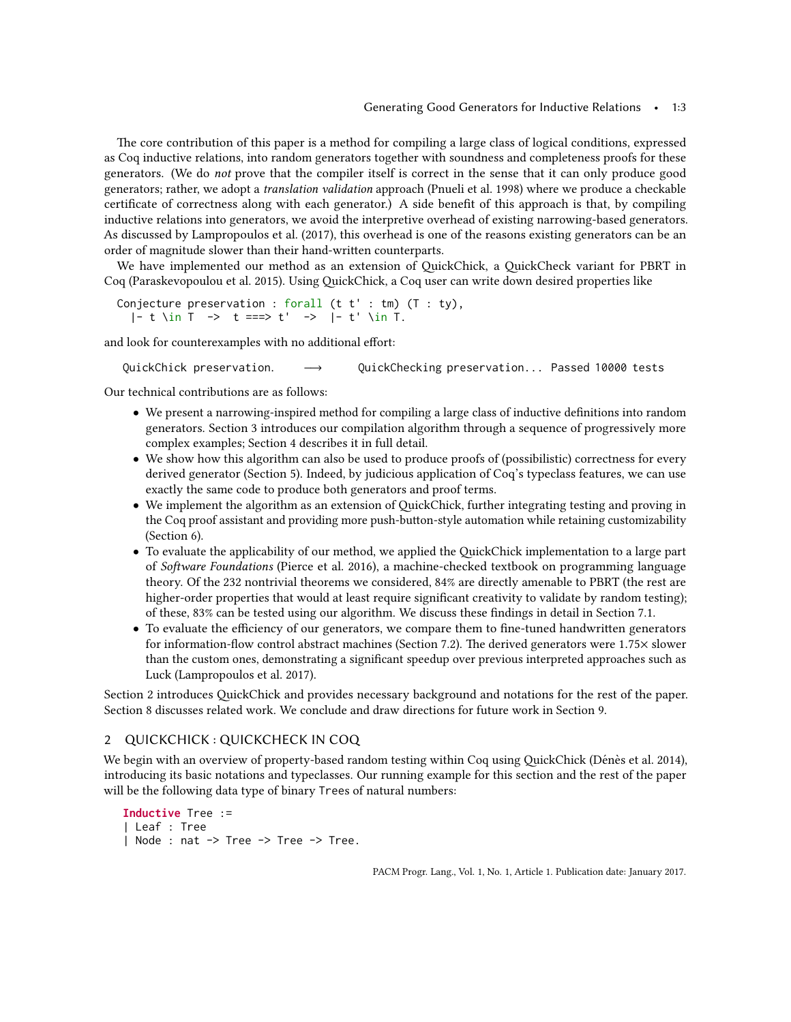The core contribution of this paper is a method for compiling a large class of logical conditions, expressed as Coq inductive relations, into random generators together with soundness and completeness proofs for these generators. (We do not prove that the compiler itself is correct in the sense that it can only produce good generators; rather, we adopt a translation validation approach [\(Pnueli et al.](#page-27-7) [1998\)](#page-27-7) where we produce a checkable certificate of correctness along with each generator.) A side benefit of this approach is that, by compiling inductive relations into generators, we avoid the interpretive overhead of existing narrowing-based generators. As discussed by [Lampropoulos et al.](#page-27-6) [\(2017\)](#page-27-6), this overhead is one of the reasons existing generators can be an order of magnitude slower than their hand-written counterparts.

We have implemented our method as an extension of QuickChick, a QuickCheck variant for PBRT in Coq [\(Paraskevopoulou et al. 2015\)](#page-27-4). Using QuickChick, a Coq user can write down desired properties like

```
Conjecture preservation : forall (t t' : tm) (T : ty),
  |- t \ \{in \ T \ \rightarrow \ t \ == \gt t' \ \rightarrow \ |- t' \ \{in \ T.
```
and look for counterexamples with no additional effort:

QuickChick preservation. → QuickChecking preservation... Passed 10000 tests

Our technical contributions are as follows:

- We present a narrowing-inspired method for compiling a large class of inductive definitions into random generators. Section [3](#page-6-0) introduces our compilation algorithm through a sequence of progressively more complex examples; Section [4](#page-9-0) describes it in full detail.
- We show how this algorithm can also be used to produce proofs of (possibilistic) correctness for every derived generator (Section [5\)](#page-14-0). Indeed, by judicious application of Coq's typeclass features, we can use exactly the same code to produce both generators and proof terms.
- We implement the algorithm as an extension of QuickChick, further integrating testing and proving in the Coq proof assistant and providing more push-button-style automation while retaining customizability (Section [6\)](#page-21-0).
- To evaluate the applicability of our method, we applied the QuickChick implementation to a large part of Software Foundations [\(Pierce et al.](#page-27-8) [2016\)](#page-27-8), a machine-checked textbook on programming language theory. Of the 232 nontrivial theorems we considered, 84% are directly amenable to PBRT (the rest are higher-order properties that would at least require significant creativity to validate by random testing); of these, 83% can be tested using our algorithm. We discuss these findings in detail in Section [7.1.](#page-21-1)
- To evaluate the efficiency of our generators, we compare them to fine-tuned handwritten generators for information-flow control abstract machines (Section [7.2\)](#page-23-0). The derived generators were  $1.75\times$  slower than the custom ones, demonstrating a signicant speedup over previous interpreted approaches such as Luck [\(Lampropoulos et al. 2017\)](#page-27-6).

Section [2](#page-2-0) introduces OuickChick and provides necessary background and notations for the rest of the paper. Section [8](#page-24-0) discusses related work. We conclude and draw directions for future work in Section [9.](#page-25-2)

# <span id="page-2-0"></span>2 QUICKCHICK : QUICKCHECK IN COQ

We begin with an overview of property-based random testing within Coq using QuickChick (Dénès et al. [2014\)](#page-26-14), introducing its basic notations and typeclasses. Our running example for this section and the rest of the paper will be the following data type of binary Trees of natural numbers:

```
Inductive Tree :=
| Leaf : Tree
| Node : nat -> Tree -> Tree -> Tree.
```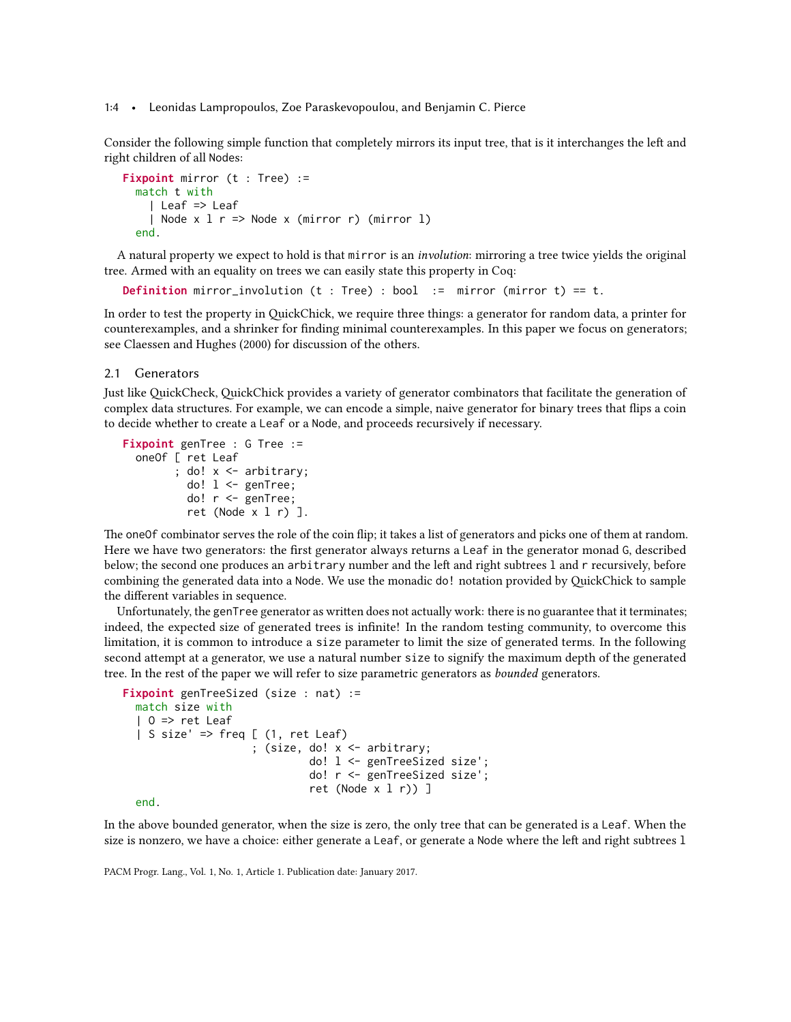1:4 • Leonidas Lampropoulos, Zoe Paraskevopoulou, and Benjamin C. Pierce

Consider the following simple function that completely mirrors its input tree, that is it interchanges the left and right children of all Nodes:

```
Fixpoint mirror (t : Tree) :=
  match t with
   | Leaf => Leaf
    | Node x l r => Node x (mirror r) (mirror l)
  end.
```
A natural property we expect to hold is that mirror is an involution: mirroring a tree twice yields the original tree. Armed with an equality on trees we can easily state this property in Coq:

**Definition** mirror\_involution (t : Tree) : bool := mirror (mirror t) == t.

In order to test the property in QuickChick, we require three things: a generator for random data, a printer for counterexamples, and a shrinker for finding minimal counterexamples. In this paper we focus on generators; see [Claessen and Hughes](#page-26-0) [\(2000\)](#page-26-0) for discussion of the others.

## <span id="page-3-0"></span>2.1 Generators

Just like QuickCheck, QuickChick provides a variety of generator combinators that facilitate the generation of complex data structures. For example, we can encode a simple, naive generator for binary trees that flips a coin to decide whether to create a Leaf or a Node, and proceeds recursively if necessary.

```
Fixpoint genTree : G Tree :=
  oneOf [ ret Leaf
        ; do! x <- arbitrary;
          do! 1 \leq genTree;
          do! r <- genTree;
          ret (Node x \in I r) ].
```
The oneOf combinator serves the role of the coin flip; it takes a list of generators and picks one of them at random. Here we have two generators: the first generator always returns a Leaf in the generator monad G, described below; the second one produces an arbitrary number and the left and right subtrees 1 and r recursively, before combining the generated data into a Node. We use the monadic do! notation provided by QuickChick to sample the different variables in sequence.

Unfortunately, the genTree generator as written does not actually work: there is no guarantee that it terminates; indeed, the expected size of generated trees is infinite! In the random testing community, to overcome this limitation, it is common to introduce a size parameter to limit the size of generated terms. In the following second attempt at a generator, we use a natural number size to signify the maximum depth of the generated tree. In the rest of the paper we will refer to size parametric generators as bounded generators.

```
Fixpoint genTreeSized (size : nat) :=
  match size with
  | 0 \Rightarrow ret Leaf
  | S size' => freq [ (1, ret Leaf)
                      ; (size, do! x <- arbitrary;
                               do! l <- genTreeSized size';
                               do! r <- genTreeSized size';
                               ret (Node x \in I r)) ]
```
end.

In the above bounded generator, when the size is zero, the only tree that can be generated is a Leaf. When the size is nonzero, we have a choice: either generate a Leaf, or generate a Node where the left and right subtrees 1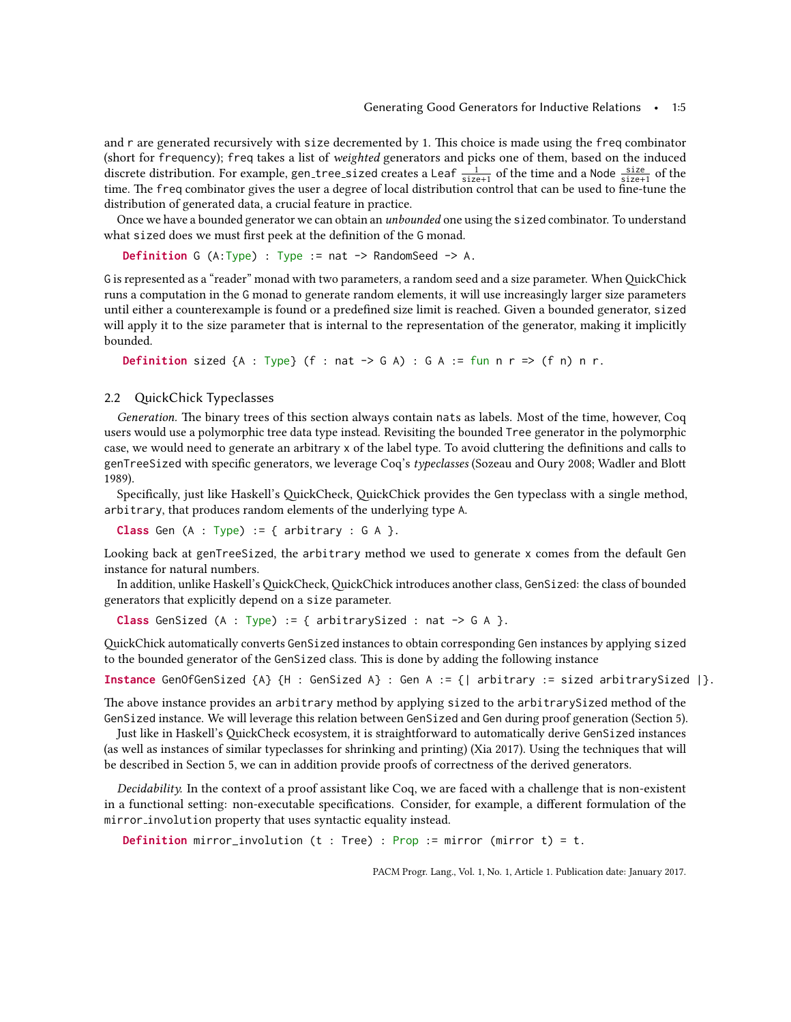and r are generated recursively with size decremented by 1. This choice is made using the freq combinator (short for frequency); freq takes a list of weighted generators and picks one of them, based on the induced discrete distribution. For example, gen\_tree\_sized creates a Leaf  $\frac{1}{size+1}$  of the time and a Node  $\frac{size}{size+1}$  of the time. The freq combinator gives the user a degree of local distribution control that can be used to fine-tune the distribution of generated data, a crucial feature in practice.

Once we have a bounded generator we can obtain an unbounded one using the sized combinator. To understand what sized does we must first peek at the definition of the G monad.

**Definition** G (A:Type) : Type := nat -> RandomSeed -> A.

G is represented as a "reader" monad with two parameters, a random seed and a size parameter. When QuickChick runs a computation in the G monad to generate random elements, it will use increasingly larger size parameters until either a counterexample is found or a predefined size limit is reached. Given a bounded generator, sized will apply it to the size parameter that is internal to the representation of the generator, making it implicitly bounded.

**Definition** sized  $\{A : Type\}$  (f : nat -> G A) : G A := fun n r => (f n) n r.

## 2.2 QuickChick Typeclasses

Generation. The binary trees of this section always contain nats as labels. Most of the time, however, Coq users would use a polymorphic tree data type instead. Revisiting the bounded Tree generator in the polymorphic case, we would need to generate an arbitrary x of the label type. To avoid cluttering the definitions and calls to genTreeSized with specific generators, we leverage Coq's typeclasses [\(Sozeau and Oury 2008;](#page-27-9) [Wadler and Blo](#page-27-10)tt [1989\)](#page-27-10).

Specifically, just like Haskell's QuickCheck, QuickChick provides the Gen typeclass with a single method, arbitrary, that produces random elements of the underlying type A.

**Class** Gen  $(A : Type) := \{$  arbitrary :  $G \land \}$ .

Looking back at genTreeSized, the arbitrary method we used to generate x comes from the default Gen instance for natural numbers.

In addition, unlike Haskell's QuickCheck, QuickChick introduces another class, GenSized: the class of bounded generators that explicitly depend on a size parameter.

**Class** GenSized (A : Type)  $:=$  { arbitrarySized : nat  $\rightarrow$  G A }.

ickChick automatically converts GenSized instances to obtain corresponding Gen instances by applying sized to the bounded generator of the GenSized class. This is done by adding the following instance

**Instance** GenOfGenSized {A} {H : GenSized A} : Gen A := {| arbitrary := sized arbitrarySized |}.

The above instance provides an arbitrary method by applying sized to the arbitrarySized method of the GenSized instance. We will leverage this relation between GenSized and Gen during proof generation (Section [5\)](#page-14-0).

Just like in Haskell's QuickCheck ecosystem, it is straightforward to automatically derive GenSized instances (as well as instances of similar typeclasses for shrinking and printing) [\(Xia 2017\)](#page-27-11). Using the techniques that will be described in Section [5,](#page-14-0) we can in addition provide proofs of correctness of the derived generators.

Decidability. In the context of a proof assistant like Coq, we are faced with a challenge that is non-existent in a functional setting: non-executable specifications. Consider, for example, a different formulation of the mirror involution property that uses syntactic equality instead.

```
Definition mirror_involution (t : Tree) : Prop := mirror (mirror t) = t.
```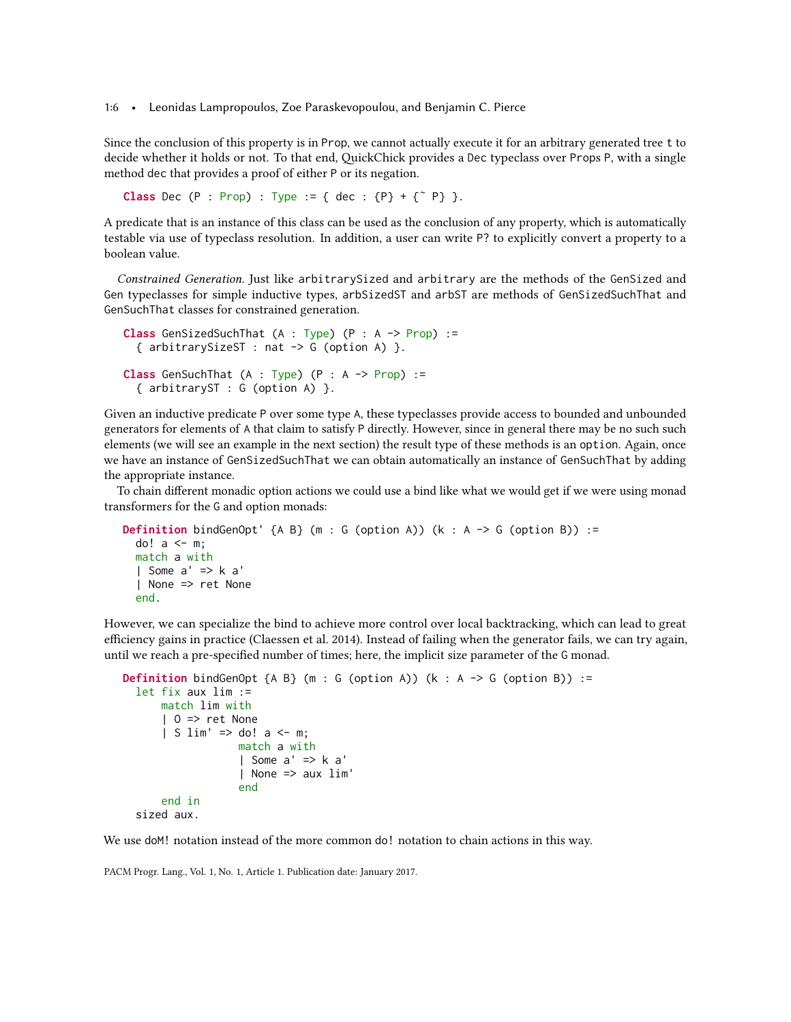1:6 • Leonidas Lampropoulos, Zoe Paraskevopoulou, and Benjamin C. Pierce

Since the conclusion of this property is in Prop, we cannot actually execute it for an arbitrary generated tree t to decide whether it holds or not. To that end, QuickChick provides a Dec typeclass over Props P, with a single method dec that provides a proof of either P or its negation.

**Class** Dec  $(P : Prop) : Type := \{ dec : {P} + {^\sim} P} \}.$ 

A predicate that is an instance of this class can be used as the conclusion of any property, which is automatically testable via use of typeclass resolution. In addition, a user can write P? to explicitly convert a property to a boolean value.

Constrained Generation. Just like arbitrarySized and arbitrary are the methods of the GenSized and Gen typeclasses for simple inductive types, arbSizedST and arbST are methods of GenSizedSuchThat and GenSuchThat classes for constrained generation.

```
Class GenSizedSuchThat (A : Type) (P : A -> Prop) :=
  { arbitrarySizeST : nat -> G (option A) }.
Class GenSuchThat (A : Type) (P : A -> Prop) :=
  { arbitraryST : G (option A) }.
```
Given an inductive predicate P over some type A, these typeclasses provide access to bounded and unbounded generators for elements of A that claim to satisfy P directly. However, since in general there may be no such such elements (we will see an example in the next section) the result type of these methods is an option. Again, once we have an instance of GenSizedSuchThat we can obtain automatically an instance of GenSuchThat by adding the appropriate instance.

To chain different monadic option actions we could use a bind like what we would get if we were using monad transformers for the G and option monads:

```
Definition bindGenOpt' {A B} (m : G (option A)) (k : A -> G (option B)) :=
  do! a \leq -m;
  match a with
  | Some a' => k a'
  | None => ret None
  end.
```
However, we can specialize the bind to achieve more control over local backtracking, which can lead to great efficiency gains in practice [\(Claessen et al.](#page-26-9) [2014\)](#page-26-9). Instead of failing when the generator fails, we can try again, until we reach a pre-specified number of times; here, the implicit size parameter of the G monad.

```
Definition bindGenOpt {A B} (m : G (option A)) (k : A -> G (option B)) :=
  let fix aux lim :=
      match lim with
      | O => ret None
      | S lim' => do! a <- m;
                  match a with
                  | Some a' => k a'
                  | None => aux lim'
                  end
      end in
  sized aux.
```
We use dom! notation instead of the more common do! notation to chain actions in this way.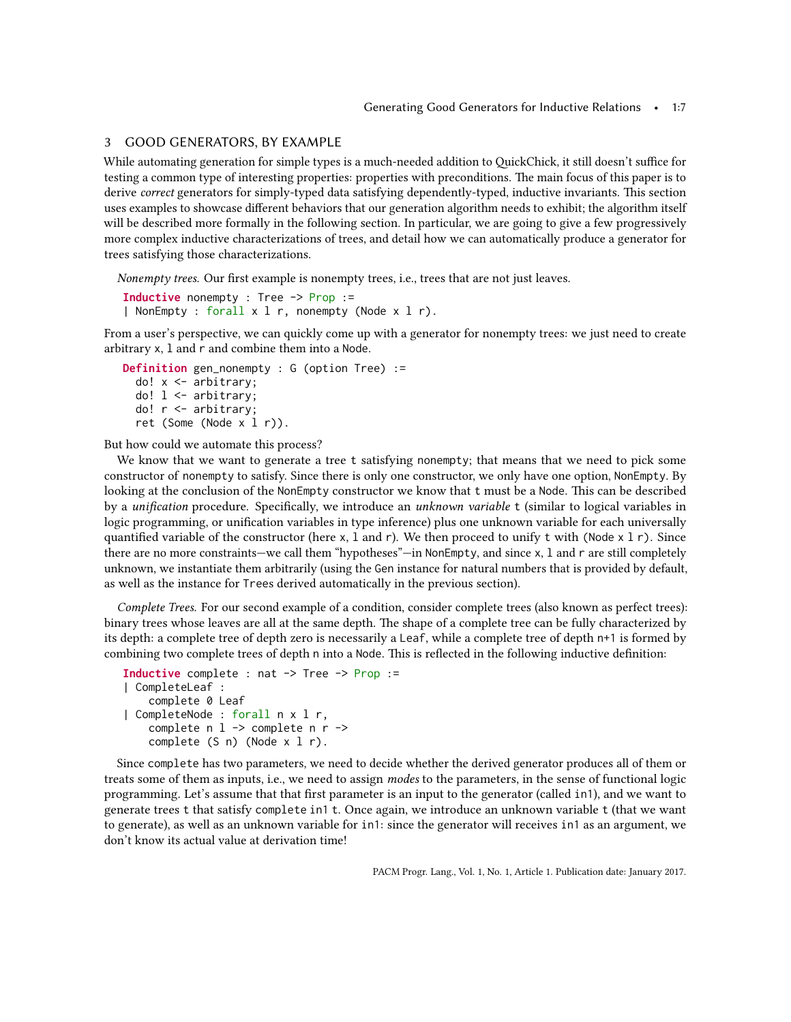# <span id="page-6-0"></span>3 GOOD GENERATORS, BY EXAMPLE

While automating generation for simple types is a much-needed addition to QuickChick, it still doesn't suffice for testing a common type of interesting properties: properties with preconditions. The main focus of this paper is to derive correct generators for simply-typed data satisfying dependently-typed, inductive invariants. This section uses examples to showcase different behaviors that our generation algorithm needs to exhibit; the algorithm itself will be described more formally in the following section. In particular, we are going to give a few progressively more complex inductive characterizations of trees, and detail how we can automatically produce a generator for trees satisfying those characterizations.

Nonempty trees. Our first example is nonempty trees, i.e., trees that are not just leaves.

```
Inductive nonempty : Tree -> Prop :=
| NonEmpty : forall x l r, nonempty (Node x l r).
```
From a user's perspective, we can quickly come up with a generator for nonempty trees: we just need to create arbitrary x, 1 and r and combine them into a Node.

```
Definition gen_nonempty : G (option Tree) :=
  do! x <- arbitrary;
  do! l <- arbitrary;
  do! r <- arbitrary;
  ret (Some (Node x \in I r)).
```
But how could we automate this process?

We know that we want to generate a tree t satisfying nonempty; that means that we need to pick some constructor of nonempty to satisfy. Since there is only one constructor, we only have one option, NonEmpty. By looking at the conclusion of the NonEmpty constructor we know that t must be a Node. This can be described by a *unification* procedure. Specifically, we introduce an *unknown variable* t (similar to logical variables in logic programming, or unification variables in type inference) plus one unknown variable for each universally quantified variable of the constructor (here x, 1 and r). We then proceed to unify t with (Node x 1 r). Since there are no more constraints—we call them "hypotheses"—in NonEmpty, and since x, l and r are still completely unknown, we instantiate them arbitrarily (using the Gen instance for natural numbers that is provided by default, as well as the instance for Trees derived automatically in the previous section).

Complete Trees. For our second example of a condition, consider complete trees (also known as perfect trees): binary trees whose leaves are all at the same depth. The shape of a complete tree can be fully characterized by its depth: a complete tree of depth zero is necessarily a Leaf, while a complete tree of depth n+1 is formed by combining two complete trees of depth n into a Node. This is reflected in the following inductive definition:

```
Inductive complete : nat -> Tree -> Prop :=
| CompleteLeaf :
    complete 0 Leaf
| CompleteNode : forall n x l r,
    complete n l -> complete n r ->
    complete (S \nvert N) (Node x \nvert Nr).
```
Since complete has two parameters, we need to decide whether the derived generator produces all of them or treats some of them as inputs, i.e., we need to assign modes to the parameters, in the sense of functional logic programming. Let's assume that that first parameter is an input to the generator (called in1), and we want to generate trees t that satisfy complete in1 t. Once again, we introduce an unknown variable t (that we want to generate), as well as an unknown variable for in1: since the generator will receives in1 as an argument, we don't know its actual value at derivation time!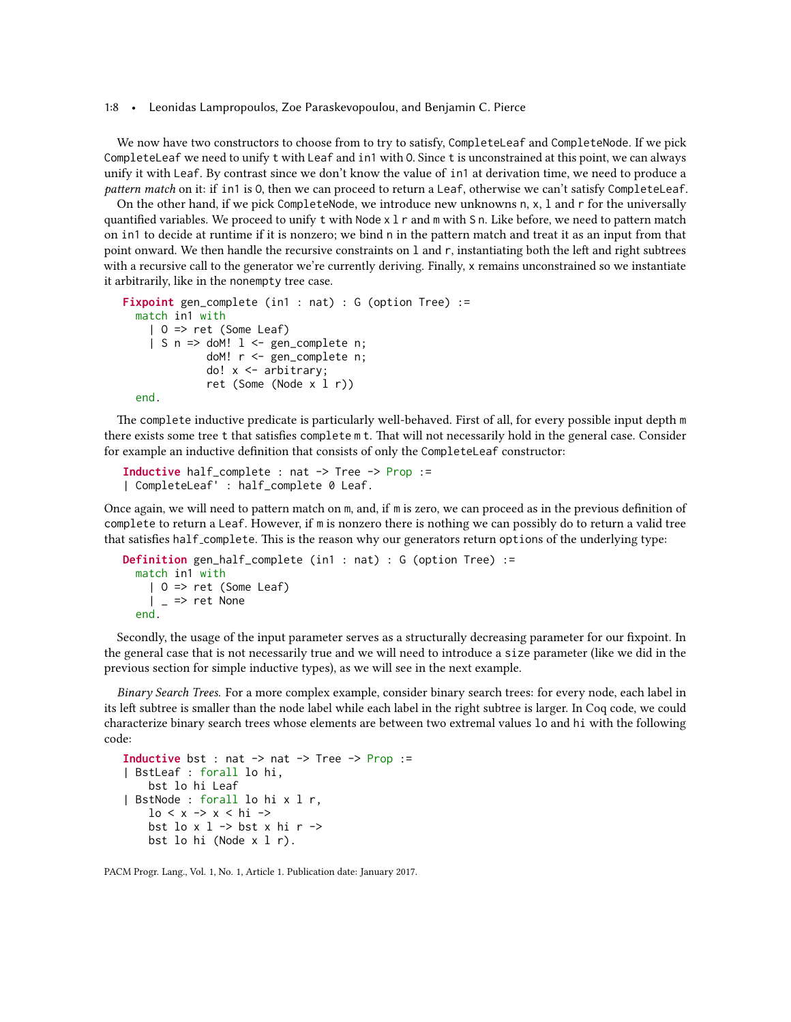1:8 • Leonidas Lampropoulos, Zoe Paraskevopoulou, and Benjamin C. Pierce

We now have two constructors to choose from to try to satisfy, CompleteLeaf and CompleteNode. If we pick CompleteLeaf we need to unify t with Leaf and in1 with O. Since t is unconstrained at this point, we can always unify it with Leaf. By contrast since we don't know the value of in1 at derivation time, we need to produce a pattern match on it: if in1 is 0, then we can proceed to return a Leaf, otherwise we can't satisfy CompleteLeaf.

On the other hand, if we pick CompleteNode, we introduce new unknowns n, x, l and r for the universally quantified variables. We proceed to unify t with Node  $x$  1 r and m with S n. Like before, we need to pattern match on in1 to decide at runtime if it is nonzero; we bind n in the pattern match and treat it as an input from that point onward. We then handle the recursive constraints on  $1$  and  $r$ , instantiating both the left and right subtrees with a recursive call to the generator we're currently deriving. Finally, x remains unconstrained so we instantiate it arbitrarily, like in the nonempty tree case.

```
Fixpoint gen_complete (in1 : nat) : G (option Tree) :=
  match in1 with
   | O => ret (Some Leaf)
    | S n => doM! 1 <- gen_complete n;
             doM! r <- gen_complete n;
             do! x <- arbitrary;
             ret (Some (Node x l r))
  end.
```
The complete inductive predicate is particularly well-behaved. First of all, for every possible input depth m there exists some tree t that satisfies complete m t. That will not necessarily hold in the general case. Consider for example an inductive definition that consists of only the CompleteLeaf constructor:

```
Inductive half_complete : nat -> Tree -> Prop :=
| CompleteLeaf' : half_complete 0 Leaf.
```
Once again, we will need to pattern match on m, and, if m is zero, we can proceed as in the previous definition of complete to return a Leaf. However, if m is nonzero there is nothing we can possibly do to return a valid tree that satisfies half\_complete. This is the reason why our generators return options of the underlying type:

```
Definition gen_half_complete (in1 : nat) : G (option Tree) :=
 match in1 with
   | O => ret (Some Leaf)
   | = > ret None
 end.
```
Secondly, the usage of the input parameter serves as a structurally decreasing parameter for our fixpoint. In the general case that is not necessarily true and we will need to introduce a size parameter (like we did in the previous section for simple inductive types), as we will see in the next example.

Binary Search Trees. For a more complex example, consider binary search trees: for every node, each label in its left subtree is smaller than the node label while each label in the right subtree is larger. In Coq code, we could characterize binary search trees whose elements are between two extremal values lo and hi with the following code:

```
Inductive bst : nat -> nat -> Tree -> Prop :=
| BstLeaf : forall lo hi,
    bst lo hi Leaf
| BstNode : forall lo hi x l r,
    \ln x < x -> x < \ln x ->
    bst lo x l \rightarrow bst x hi r \rightarrowbst lo hi (Node x \in I r).
```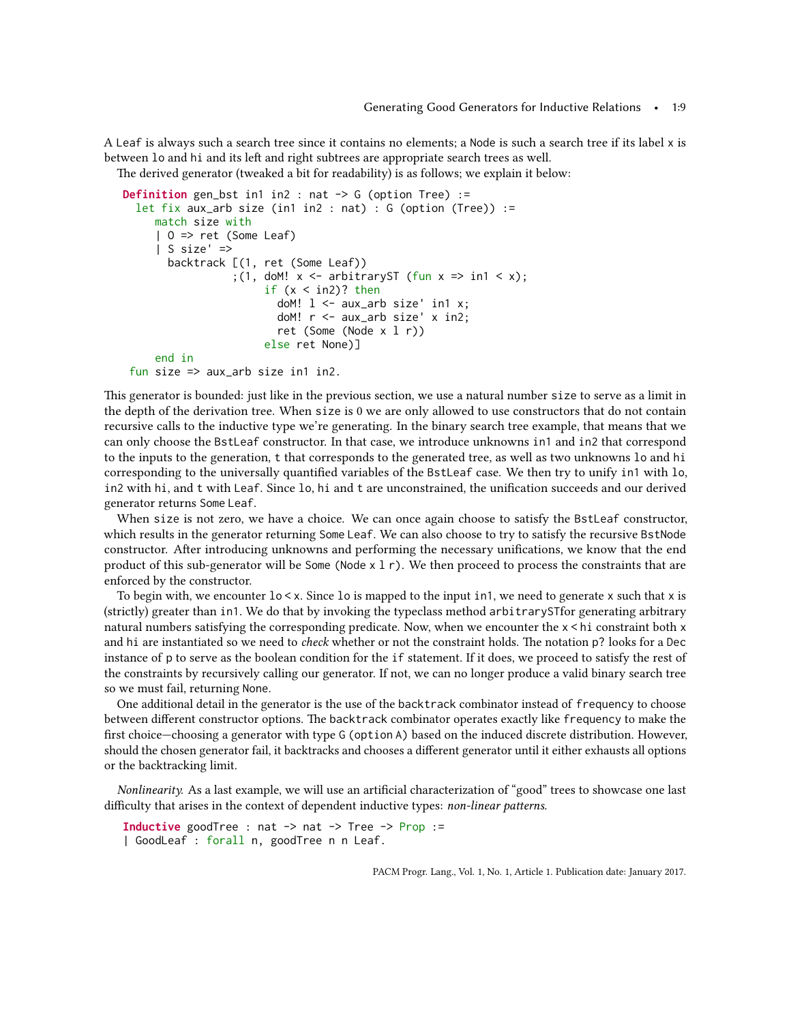A Leaf is always such a search tree since it contains no elements; a Node is such a search tree if its label x is between lo and hi and its left and right subtrees are appropriate search trees as well.

The derived generator (tweaked a bit for readability) is as follows; we explain it below:

```
Definition gen bst in1 in2 : nat \rightarrow G (option Tree) :=let fix aux_arb size (in1 in2 : nat) : G (option (Tree)) :=
     match size with
     | O => ret (Some Leaf)
     | S size' =>
       backtrack [(1, ret (Some Leaf))
                  ;(1, doM! x \le - arbitraryST (fun x \Rightarrow in1 \lt x);
                        if (x < in2)? then
                          doM! 1 \le aux_arb size' in1 x;
                          doM! r <- aux_arb size' x in2;
                          ret (Some (Node x \in I r))
                        else ret None)]
     end in
```
fun size  $\Rightarrow$  aux\_arb size in1 in2.

This generator is bounded: just like in the previous section, we use a natural number size to serve as a limit in the depth of the derivation tree. When size is 0 we are only allowed to use constructors that do not contain recursive calls to the inductive type we're generating. In the binary search tree example, that means that we can only choose the BstLeaf constructor. In that case, we introduce unknowns in1 and in2 that correspond to the inputs to the generation, t that corresponds to the generated tree, as well as two unknowns lo and hi corresponding to the universally quantified variables of the BstLeaf case. We then try to unify in1 with lo, in2 with hi, and t with Leaf. Since lo, hi and t are unconstrained, the unification succeeds and our derived generator returns Some Leaf.

When size is not zero, we have a choice. We can once again choose to satisfy the BstLeaf constructor, which results in the generator returning Some Leaf. We can also choose to try to satisfy the recursive BstNode constructor. After introducing unknowns and performing the necessary unifications, we know that the end product of this sub-generator will be Some (Node  $x \perp r$ ). We then proceed to process the constraints that are enforced by the constructor.

To begin with, we encounter  $l_0 < x$ . Since lo is mapped to the input in1, we need to generate x such that x is (strictly) greater than in1. We do that by invoking the typeclass method arbitrarySTfor generating arbitrary natural numbers satisfying the corresponding predicate. Now, when we encounter the x < hi constraint both x and hi are instantiated so we need to *check* whether or not the constraint holds. The notation p? looks for a Dec instance of p to serve as the boolean condition for the if statement. If it does, we proceed to satisfy the rest of the constraints by recursively calling our generator. If not, we can no longer produce a valid binary search tree so we must fail, returning None.

One additional detail in the generator is the use of the backtrack combinator instead of frequency to choose between different constructor options. The backtrack combinator operates exactly like frequency to make the first choice—choosing a generator with type G (option A) based on the induced discrete distribution. However, should the chosen generator fail, it backtracks and chooses a different generator until it either exhausts all options or the backtracking limit.

Nonlinearity. As a last example, we will use an artificial characterization of "good" trees to showcase one last difficulty that arises in the context of dependent inductive types: *non-linear patterns*.

```
Inductive goodTree : nat -> nat -> Tree -> Prop :=
| GoodLeaf : forall n, goodTree n n Leaf.
```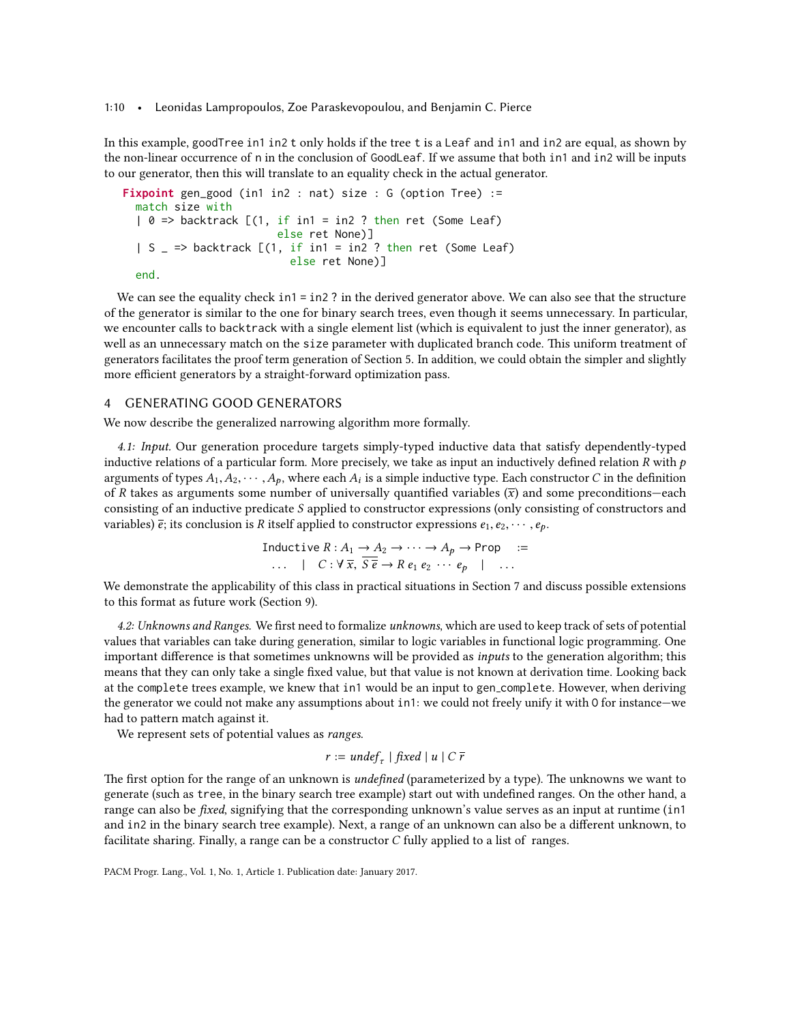1:10 • Leonidas Lampropoulos, Zoe Paraskevopoulou, and Benjamin C. Pierce

In this example, goodTree in1 in2 t only holds if the tree t is a Leaf and in1 and in2 are equal, as shown by the non-linear occurrence of n in the conclusion of GoodLeaf. If we assume that both in1 and in2 will be inputs to our generator, then this will translate to an equality check in the actual generator.

```
Fixpoint gen_good (in1 in2 : nat) size : G (option Tree) :=
  match size with
  | 0 \Rightarrow backtrack [(1, if in1 = in2 ? then ret (Some Leaf)else ret None)]
  | S = \gt{backtrack} [ (1, if in1 = in2 ? then ret (Some Leaf)else ret None)]
  end.
```
We can see the equality check in1 = in2 ? in the derived generator above. We can also see that the structure of the generator is similar to the one for binary search trees, even though it seems unnecessary. In particular, we encounter calls to backtrack with a single element list (which is equivalent to just the inner generator), as well as an unnecessary match on the size parameter with duplicated branch code. This uniform treatment of generators facilitates the proof term generation of Section [5.](#page-14-0) In addition, we could obtain the simpler and slightly more efficient generators by a straight-forward optimization pass.

# <span id="page-9-0"></span>4 GENERATING GOOD GENERATORS

We now describe the generalized narrowing algorithm more formally.

[4.](#page-9-0)1: Input. Our generation procedure targets simply-typed inductive data that satisfy dependently-typed inductive relations of a particular form. More precisely, we take as input an inductively defined relation R with  $p$ arguments of types  $A_1, A_2, \dots, A_p$ , where each  $A_i$  is a simple inductive type. Each constructor C in the definition<br>of R takes as arguments some number of universally quantified variables  $(\overline{x})$  and some preconditions—e of R takes as arguments some number of universally quantified variables  $(\overline{x})$  and some preconditions—each consisting of an inductive predicate S applied to constructor expressions (only consisting of constructors and variables)  $\bar{e}$ ; its conclusion is R itself applied to constructor expressions  $e_1, e_2, \cdots, e_p$ .

Inductive 
$$
R: A_1 \to A_2 \to \cdots \to A_p \to \text{Prop} :=
$$
  
\n... |  $C: \forall \overline{x}, \overline{S} \overline{e} \to R e_1 e_2 \cdots e_p$  | ...

We demonstrate the applicability of this class in practical situations in Section [7](#page-21-2) and discuss possible extensions to this format as future work (Section [9\)](#page-25-2).

<span id="page-9-1"></span>[4.](#page-9-0)2: Unknowns and Ranges. We first need to formalize unknowns, which are used to keep track of sets of potential values that variables can take during generation, similar to logic variables in functional logic programming. One important difference is that sometimes unknowns will be provided as *inputs* to the generation algorithm; this means that they can only take a single fixed value, but that value is not known at derivation time. Looking back at the complete trees example, we knew that in1 would be an input to gen complete. However, when deriving the generator we could not make any assumptions about in1: we could not freely unify it with O for instance—we had to pattern match against it.

We represent sets of potential values as ranges.

$$
r := \mathit{undef}_{\tau} \mid \mathit{fixed} \mid u \mid C \overline{r}
$$

The first option for the range of an unknown is *undefined* (parameterized by a type). The unknowns we want to generate (such as tree, in the binary search tree example) start out with undefined ranges. On the other hand, a range can also be *fixed*, signifying that the corresponding unknown's value serves as an input at runtime (in1 and in2 in the binary search tree example). Next, a range of an unknown can also be a different unknown, to facilitate sharing. Finally, a range can be a constructor C fully applied to a list of ranges.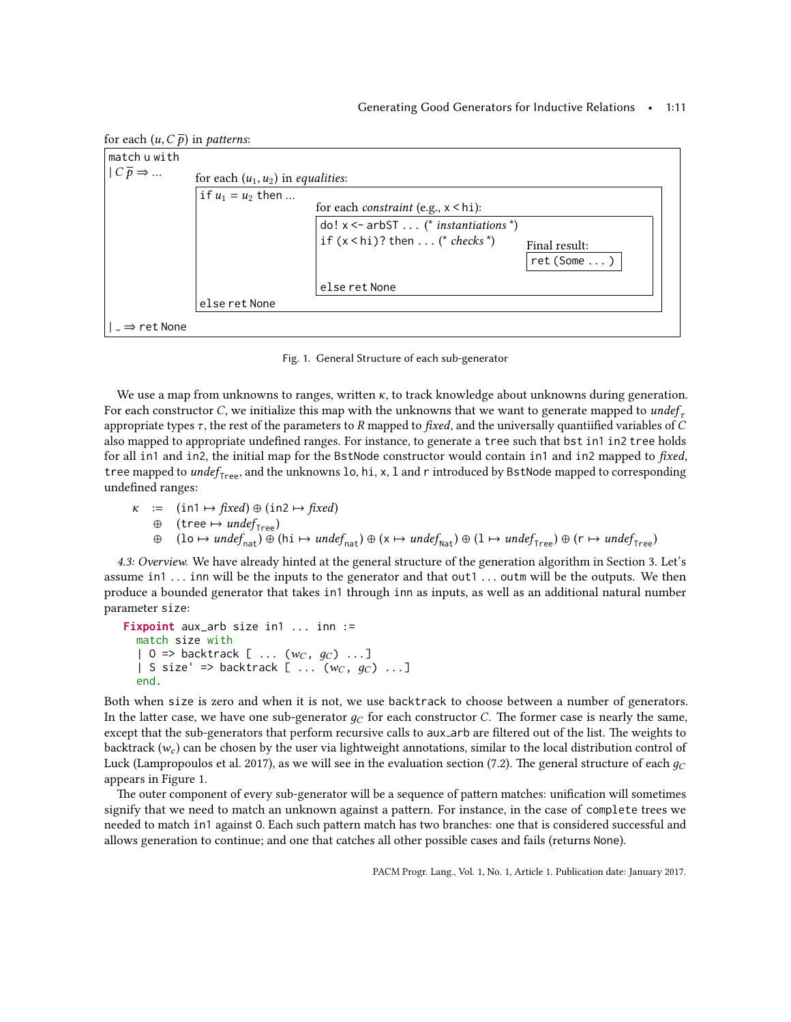<span id="page-10-0"></span>

Fig. 1. General Structure of each sub-generator

We use a map from unknowns to ranges, written  $\kappa$ , to track knowledge about unknowns during generation. For each constructor C, we initialize this map with the unknowns that we want to generate mapped to *undef<sub>t</sub>* appropriate types  $\tau$ , the rest of the parameters to R mapped to fixed, and the universally quantiified variables of C also mapped to appropriate undefined ranges. For instance, to generate a tree such that bst in1 in2 tree holds for all in1 and in2, the initial map for the BstNode constructor would contain in1 and in2 mapped to fixed, tree mapped to *undef<sub>Tree</sub>*, and the unknowns 10, hi, x, 1 and r introduced by BstNode mapped to corresponding undefined ranges:

$$
\kappa := (\text{in1} \mapsto \text{fixed}) \oplus (\text{in2} \mapsto \text{fixed})
$$
  
\n
$$
\oplus (\text{tree} \mapsto \text{underf}_{\text{Tree}})
$$
  
\n
$$
\oplus (\text{lo} \mapsto \text{underf}_{\text{nat}}) \oplus (\text{hi} \mapsto \text{underf}_{\text{nat}}) \oplus (x \mapsto \text{underf}_{\text{Nat}}) \oplus (1 \mapsto \text{underf}_{\text{Tree}}) \oplus (r \mapsto \text{underf}_{\text{Tree}})
$$

<span id="page-10-1"></span>[4.](#page-9-0)3: Overview. We have already hinted at the general structure of the generation algorithm in Section [3.](#page-6-0) Let's assume in1 ... inn will be the inputs to the generator and that out1 ... outm will be the outputs. We then produce a bounded generator that takes in1 through inn as inputs, as well as an additional natural number parameter size:

```
Fixpoint aux_arb size in1 ... inn :=
 match size with
  | 0 => backtrack [ ... (w_C, q_C) ... ]| S size' => backtrack [ ... (w_C, g_C) ...]end.
```
Both when size is zero and when it is not, we use backtrack to choose between a number of generators. In the latter case, we have one sub-generator  $q_C$  for each constructor C. The former case is nearly the same, except that the sub-generators that perform recursive calls to aux arb are filtered out of the list. The weights to backtrack ( $w_c$ ) can be chosen by the user via lightweight annotations, similar to the local distribution control of Luck [\(Lampropoulos et al.](#page-27-6) [2017\)](#page-27-6), as we will see in the evaluation section [\(7.2\)](#page-23-0). The general structure of each  $q_C$ appears in Figure [1.](#page-10-0)

The outer component of every sub-generator will be a sequence of pattern matches: unification will sometimes signify that we need to match an unknown against a pattern. For instance, in the case of complete trees we needed to match in1 against 0. Each such pattern match has two branches: one that is considered successful and allows generation to continue; and one that catches all other possible cases and fails (returns None).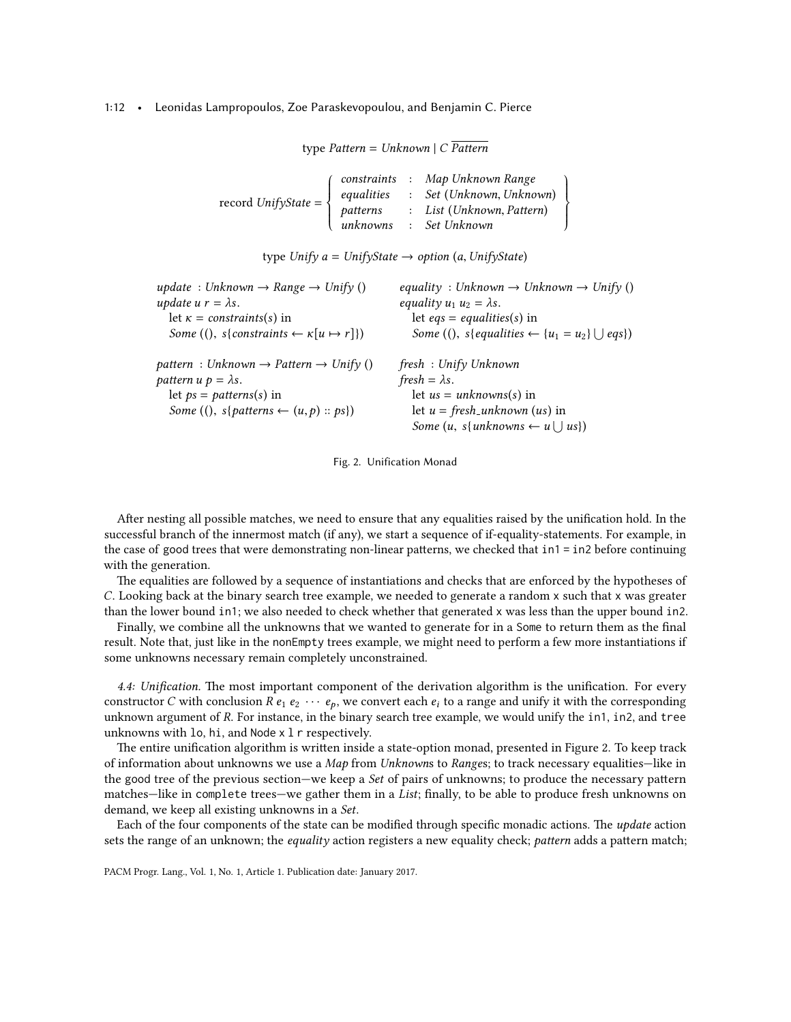<span id="page-11-0"></span>1:12 • Leonidas Lampropoulos, Zoe Paraskevopoulou, and Benjamin C. Pierce

type Pattern = Unknown  $\mid$  C Pattern

|                                      |          | constraints : Map Unknown Range     |
|--------------------------------------|----------|-------------------------------------|
|                                      |          | equalities : Set (Unknown, Unknown) |
| record <i>UnifyState</i> = $\left\{$ | patterns | : List (Unknown, Pattern)           |
|                                      | unknowns | : Set Unknown                       |

type Unify  $a = UnifyState \rightarrow option (a, UnifyState)$ 

| update: Unknown $\rightarrow$ Range $\rightarrow$ Unify ()                                                                                                                          | equality : Unknown $\rightarrow$ Unknown $\rightarrow$ Unify ()                                                                                                                    |
|-------------------------------------------------------------------------------------------------------------------------------------------------------------------------------------|------------------------------------------------------------------------------------------------------------------------------------------------------------------------------------|
| update $u r = \lambda s$ .                                                                                                                                                          | equality $u_1$ $u_2 = \lambda s$ .                                                                                                                                                 |
| let $\kappa =$ constraints(s) in                                                                                                                                                    | let $eqs = equalities(s)$ in                                                                                                                                                       |
| Some ((), s{constraints $\leftarrow \kappa[u \mapsto r]\}$ )                                                                                                                        | Some ((), s{equalities $\leftarrow$ { $u_1 = u_2$ } $\cup$ eqs})                                                                                                                   |
| pattern: Unknown $\rightarrow$ Pattern $\rightarrow$ Unify ()<br>pattern $u p = \lambda s$ .<br>let $ps = patterns(s)$ in<br>Some ((), $s\$ patterns $\leftarrow$ $(u, p) :: ps$ }) | fresh: Unify Unknown<br>${\textit{fresh}} = \lambda s.$<br>let $us = unknowns(s)$ in<br>let $u = \frac{fresh}{unknown}$ (us) in<br>Some $(u, s\{unknowns \leftarrow u \mid \}us)\$ |

Fig. 2. Unification Monad

After nesting all possible matches, we need to ensure that any equalities raised by the unification hold. In the successful branch of the innermost match (if any), we start a sequence of if-equality-statements. For example, in the case of good trees that were demonstrating non-linear patterns, we checked that  $in1 = in2$  before continuing with the generation.

The equalities are followed by a sequence of instantiations and checks that are enforced by the hypotheses of C. Looking back at the binary search tree example, we needed to generate a random <sup>x</sup> such that <sup>x</sup> was greater than the lower bound in1; we also needed to check whether that generated x was less than the upper bound in2.

Finally, we combine all the unknowns that we wanted to generate for in a Some to return them as the final result. Note that, just like in the nonEmpty trees example, we might need to perform a few more instantiations if some unknowns necessary remain completely unconstrained.

<span id="page-11-1"></span>[4.](#page-9-0)4: Unification. The most important component of the derivation algorithm is the unification. For every constructor C with conclusion R  $e_1$   $e_2$   $\cdots$   $e_p$ , we convert each  $e_i$  to a range and unify it with the corresponding unknown argument of R. For instance, in the binary search tree example, we would unify the in1, in2, and tree unknowns with lo, hi, and Node x l r respectively.

The entire unification algorithm is written inside a state-option monad, presented in Figure [2.](#page-11-0) To keep track of information about unknowns we use a Map from Unknowns to Ranges; to track necessary equalities—like in the good tree of the previous section—we keep a Set of pairs of unknowns; to produce the necessary pattern matches—like in complete trees—we gather them in a List; finally, to be able to produce fresh unknowns on demand, we keep all existing unknowns in a Set.

Each of the four components of the state can be modified through specific monadic actions. The update action sets the range of an unknown; the *equality* action registers a new equality check; *pattern* adds a pattern match;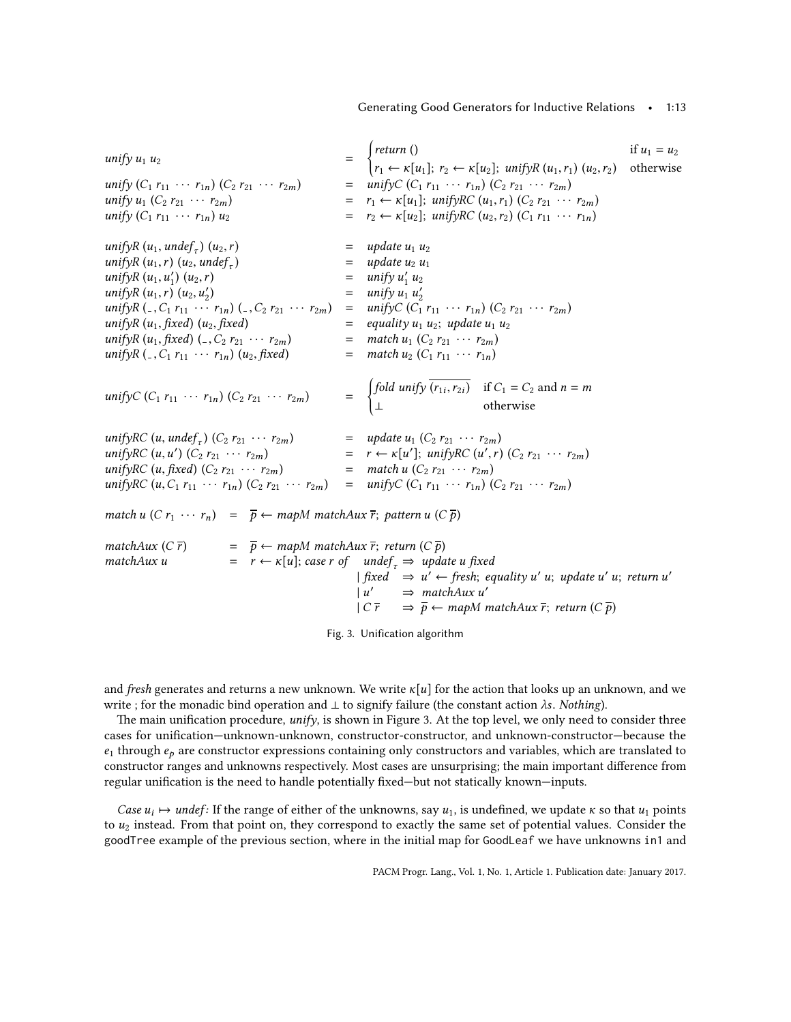<span id="page-12-0"></span>unify  $u_1$   $u_2$  $\left\{ \begin{array}{c} 0 \\ 0 \\ 0 \end{array} \right.$ return ()<br>
if  $u_1 = u_2$ <br>
if  $v_1 = u_2$  $r_1 \leftarrow \kappa[u_1]; r_2 \leftarrow \kappa[u_2]; \text{unify } R(u_1, r_1) (u_2, r_2) \text{ otherwise}$ unify  $(C_1 \, r_{11} \, \cdots \, r_{1n}) \, (C_2 \, r_{21} \, \cdots \, r_{2m})$  = unify  $C \, (C_1 \, r_{11} \, \cdots \, r_{1n}) \, (C_2 \, r_{21} \, \cdots \, r_{2m})$ <br>=  $r_1 \leftarrow \kappa [u_1]$ ; unify  $C \, (u_1, r_1) \, (C_2 \, r_{21} \, \cdots \, r_{2m})$ unify  $u_1$  (C<sub>2</sub>  $r_{21}$  · ·  $r_{2m}$ )<br>  $u_1$   $v_2$   $u_1$   $v_2$   $u_3$   $u_4$   $u_5$   $u_1$ ;  $u_1$   $u_2$   $u_2$   $u_3$   $u_1$   $u_2$   $u_3$   $u_1$   $u_2$   $u_3$   $u_1$   $u_2$   $u_2$   $u_3$   $u_1$   $u_2$   $u_3$   $u_1$   $u_2$   $u_3$   $u_1$   $u_2$   $r_2 \leftarrow \kappa[u_2];$  unify RC  $(u_2, r_2)$   $(C_1 \, r_{11} \, \cdots \, r_{1n})$ unifyR  $(u_1,$  undef<sub> $\tau$ </sub>)  $(u_2, r)$  $=$  update  $u_1$  u<sub>2</sub> unifyR  $(u_1, r)$   $(u_2,$  undef<sub>r</sub>)  $=$  update  $u_2$   $u_1$ unifyR  $(u_1, u'_1)$ <br>unifyR  $(u_1, v)$  $(u_2, r)$  = unify  $u'_1 u_2$ <br>(u<sub>2</sub>, u<sup>1</sup>) = unify u<sub>1</sub> u<sub>2</sub>  $\text{unify } R(u_1, r) (u_2, u_2') = \text{unify } u_1 u_2$ <br>  $\text{unify } C \subset C, r \subset \{u_1, v_1\} \subset C \subset C, r \subset \{u_2, u_2\} \subset \text{unify } C \subset C$ unifyR  $(u_1, r)$   $(u_2, u'_2)$  $\frac{1}{2}$ unifyR  $($ ,  $C_1 r_{11} \cdots r_{1n} )$   $($ ,  $C_2 r_{21} \cdots r_{2m} ) =$  unifyC  $(C_1 r_{11} \cdots r_{1n} )$   $(C_2 r_{21} \cdots r_{2m} )$ <br>unifyR  $($ u, fixed)  $($ u, fixed)  $)$  = equality u, us; undate u, us  $\text{unifyR } (u_1, \text{fixed}) \ (u_2, \text{fixed})$  = equality  $u_1 u_2$ ; update  $u_1 u_2$ <br> $=$  match  $u_1 (C_2 F_2, u_2 F_1)$  = match  $u_1 (C_2 F_2, u_2 F_2)$ unifyR  $(u_1, \text{fixed})$  (  $C_2$   $r_{21}$   $\cdots$   $r_{2m}$ )  $=$  match  $u_1$  ( $C_2$   $r_{21}$   $\cdots$   $r_{2m}$ )<br>unifyR ( $C_1$   $r_{31}$   $\cdots$   $r_{3m}$ ) ( $u_2$  fixed)  $=$  match  $u_2$  ( $C_1$   $r_{31}$   $\cdots$   $r_{3m}$ ) unifyR  $($ ,  $C_1 r_{11} \cdots r_{1n}$  $( u_2, fixed)$  = match  $u_2$   $(C_1 r_{11} \cdots r_{1n})$ unifyC  $(C_1 r_{11} \cdots r_{1n}) (C_2 r_{21} \cdots r_{2m})$  =  $\begin{cases} 0 & \text{if } x \in \mathbb{R}^n, \\ 0 & \text{otherwise} \end{cases}$ fold unify  $\overline{(r_{1i}, r_{2i})}$  if  $C_1 = C_2$  and  $n = m$ <br>  $\perp$  otherwise unifyRC  $(u, \text{undef}_{\tau})$   $(C_2 r_{21} \cdots r_{2m})$  = update  $u_1$   $(C_2 r_{21} \cdots r_{2m})$ <br>unifyRC  $(u, u')$   $(C_2 r_{21} \cdots r_{2m})$  =  $r \leftarrow r[u'] \cdot \text{unifyRC}$   $(u', r)$ unifyRC  $(u, u')$   $(C_2 r_{21} \cdots r_{2m})$ <br>unifyRC  $(u, \text{fixed})$   $(C_2 r_{21} \cdots r_{2m})$ <br> $=$   $r \leftarrow \kappa[u']$ ; unifyRC  $(u', r)$   $(C_2 r_{21} \cdots r_{2m})$ unifyRC  $(u, \text{fixed})$   $(C_2 r_{21} \cdots r_{2m})$  = match  $u (C_2 r_{21} \cdots r_{2m})$ <br>unifuRC  $(u, C_1 r_{21} \cdots r_{2m})$  = unifuC  $(C_1 r_{21} \cdots r_{2m})$ unifyRC  $(u, C_1 r_{11} \cdots r_{1n}) (C_2 r_{21} \cdots r_{2m}) = unifyC (C_1 r_{11} \cdots r_{1n}) (C_2 r_{21} \cdots r_{2m})$ match u  $(C r_1 \cdots r_n) = \overline{p} \leftarrow map M$  matchAux  $\overline{r}$ ; pattern u  $(C \overline{p})$ matchAux  $(C \bar{r})$  =  $\bar{p} \leftarrow mapM$  matchAux  $\bar{r}$ ; return  $(C \bar{p})$ <br>matchAux  $u$  =  $r \leftarrow \kappa[u]$ ; case r of undef  $\Rightarrow$  upda  $= r \leftarrow \kappa[u]$ ; case r of undef<sub>r</sub>  $\Rightarrow$  update u fixed  $\left| \int f(x) \, dx \right| \leq u' \leftarrow \text{ fresh};$  equality u' u; update u' u; return u'  $\left| u' \right| \geq \text{match} \Delta u x u'$  $|u'|\Rightarrow$  matchAux u'<br> $|C\overline{r}| \Rightarrow \overline{p} \leftarrow$  mapM v  $| C \overline{r} \implies \overline{p} \leftarrow mapM$  matchAux  $\overline{r}$ ; return  $(C \overline{p})$ 

Fig. 3. Unification algorithm

and fresh generates and returns a new unknown. We write  $\kappa[u]$  for the action that looks up an unknown, and we write ; for the monadic bind operation and  $\perp$  to signify failure (the constant action  $\lambda s$ . Nothing).

The main unification procedure,  $unify$ , is shown in Figure [3.](#page-12-0) At the top level, we only need to consider three cases for unification—unknown-unknown, constructor-constructor, and unknown-constructor—because the  $e_1$  through  $e_p$  are constructor expressions containing only constructors and variables, which are translated to constructor ranges and unknowns respectively. Most cases are unsurprising; the main important difference from regular unification is the need to handle potentially fixed—but not statically known—inputs.

Case  $u_i \mapsto$  undef: If the range of either of the unknowns, say  $u_1$ , is undefined, we update  $\kappa$  so that  $u_1$  points  $u_2$  instead. From that noint on they correspond to exactly the same set of notential values. Cons to  $u_2$  instead. From that point on, they correspond to exactly the same set of potential values. Consider the goodTree example of the previous section, where in the initial map for GoodLeaf we have unknowns in1 and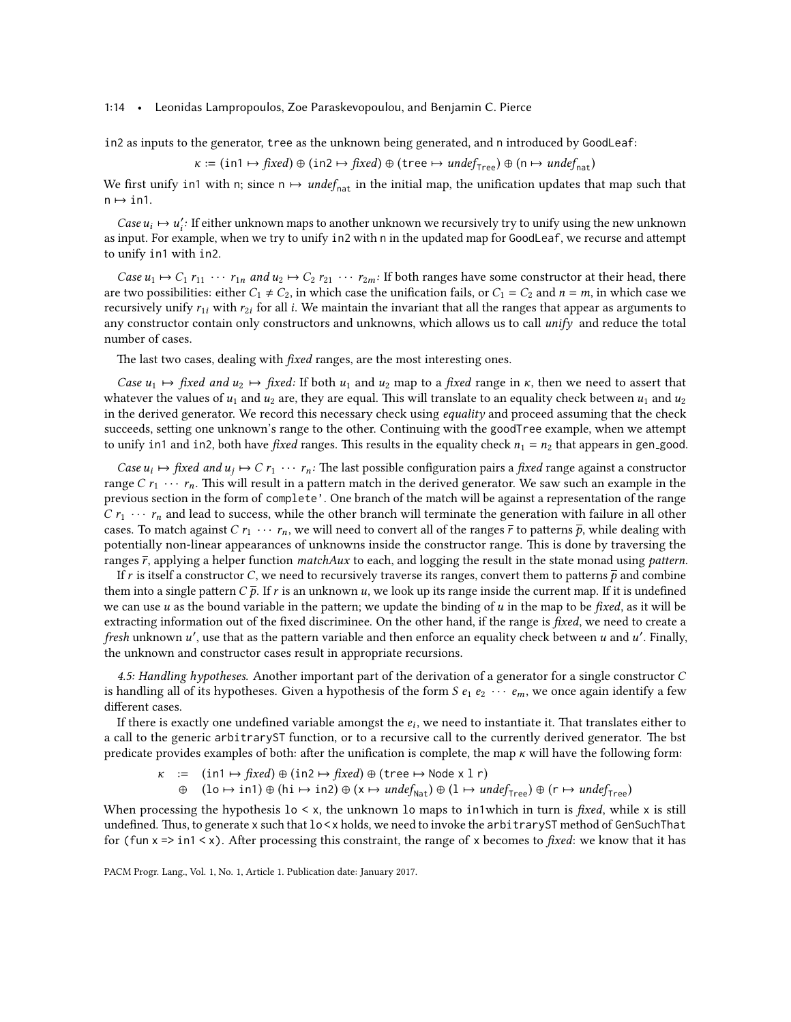#### 1:14 • Leonidas Lampropoulos, Zoe Paraskevopoulou, and Benjamin C. Pierce

in2 as inputs to the generator, tree as the unknown being generated, and n introduced by GoodLeaf:

$$
\kappa := (\text{in1} \mapsto \text{fixed}) \oplus (\text{in2} \mapsto \text{fixed}) \oplus (\text{tree} \mapsto \text{under}_{\text{Tree}}) \oplus (\text{n} \mapsto \text{under}_{\text{nat}})
$$

We first unify in1 with n; since  $n \mapsto$  undef<sub>nat</sub> in the initial map, the unification updates that map such that  $n \mapsto \text{in1}.$ 

Case  $u_i \mapsto u'_i$ : If either unknown maps to another unknown we recursively try to unify using the new unknown input For example, when we try to unify in 2 with n in the undated map for Goodl as f, we recurse and attempt as input. For example, when we try to unify in2 with n in the updated map for GoodLeaf, we recurse and attempt to unify in1 with in2.

Case  $u_1 \mapsto C_1 r_{11} \cdots r_{1n}$  and  $u_2 \mapsto C_2 r_{21} \cdots r_{2m}$ : If both ranges have some constructor at their head, there are two possibilities: either  $C_1 \neq C_2$ , in which case the unification fails, or  $C_1 = C_2$  and  $n = m$ , in which case we recursively unify  $r_{1i}$  with  $r_{2i}$  for all i. We maintain the invariant that all the ranges that appear as arguments to any constructor contain only constructors and unknowns, which allows us to call  $unify$  and reduce the total number of cases.

The last two cases, dealing with  $fixed$  ranges, are the most interesting ones.

Case  $u_1 \mapsto$  fixed and  $u_2 \mapsto$  fixed: If both  $u_1$  and  $u_2$  map to a fixed range in  $\kappa$ , then we need to assert that whatever the values of  $u_1$  and  $u_2$  are, they are equal. This will translate to an equality check between  $u_1$  and  $u_2$ in the derived generator. We record this necessary check using equality and proceed assuming that the check succeeds, setting one unknown's range to the other. Continuing with the goodTree example, when we attempt to unify in1 and in2, both have *fixed* ranges. This results in the equality check  $n_1 = n_2$  that appears in gen-good.

Case  $u_i \mapsto \text{fixed}$  and  $u_j \mapsto C r_1 \cdots r_n$ : The last possible configuration pairs a fixed range against a constructor<br>graph  $C r_1 \cdots r_n$ . This will result in a pattern match in the derived generator. We saw such an example in range C  $r_1 \cdots r_n$ . This will result in a pattern match in the derived generator. We saw such an example in the previous section in the form of complete'. One branch of the match will be against a representation of the range  $C r_1 \cdots r_n$  and lead to success, while the other branch will terminate the generation with failure in all other cases. To match against C  $r_1 \cdots r_n$ , we will need to convert all of the ranges  $\bar{r}$  to patterns  $\bar{p}$ , while dealing with potentially non-linear appearances of unknowns inside the constructor range. This is done by traversing the ranges  $\bar{r}$ , applying a helper function *matchAux* to each, and logging the result in the state monad using *pattern*.

If r is itself a constructor C, we need to recursively traverse its ranges, convert them to patterns  $\bar{p}$  and combine them into a single pattern  $\overline{C}$   $\overline{p}$ . If r is an unknown u, we look up its range inside the current map. If it is undefined we can use u as the bound variable in the pattern; we update the binding of u in the map to be fixed, as it will be extracting information out of the fixed discriminee. On the other hand, if the range is fixed, we need to create a fresh unknown u', use that as the pattern variable and then enforce an equality check between u and u'. Finally, the unknown and constructor cases result in appropriate recursions. the unknown and constructor cases result in appropriate recursions.

<span id="page-13-0"></span>[4.](#page-9-0)5: Handling hypotheses. Another important part of the derivation of a generator for a single constructor  $C$ is handling all of its hypotheses. Given a hypothesis of the form  $S e_1 e_2 \cdots e_m$ , we once again identify a few different cases.

If there is exactly one undefined variable amongst the  $e_i$ , we need to instantiate it. That translates either to relate the currently derived approach the best call to the generator. The bet a call to the generic arbitraryST function, or to a recursive call to the currently derived generator. The bst predicate provides examples of both: after the unification is complete, the map  $\kappa$  will have the following form:

$$
\kappa := (\text{in1} \mapsto \text{fixed}) \oplus (\text{in2} \mapsto \text{fixed}) \oplus (\text{tree} \mapsto \text{Node} \times 1 \text{ r})
$$
  
\n
$$
\oplus (\text{lo} \mapsto \text{in1}) \oplus (\text{hi} \mapsto \text{in2}) \oplus (x \mapsto \text{under}_{\text{Nat}}) \oplus (1 \mapsto \text{under}_{\text{Tree}}) \oplus (r \mapsto \text{under}_{\text{Tree}})
$$

When processing the hypothesis  $10 \le x$ , the unknown 10 maps to in1which in turn is fixed, while x is still undefined. Thus, to generate x such that  $\log x$  holds, we need to invoke the arbitraryST method of GenSuchThat for (fun x => in1 < x). After processing this constraint, the range of x becomes to fixed: we know that it has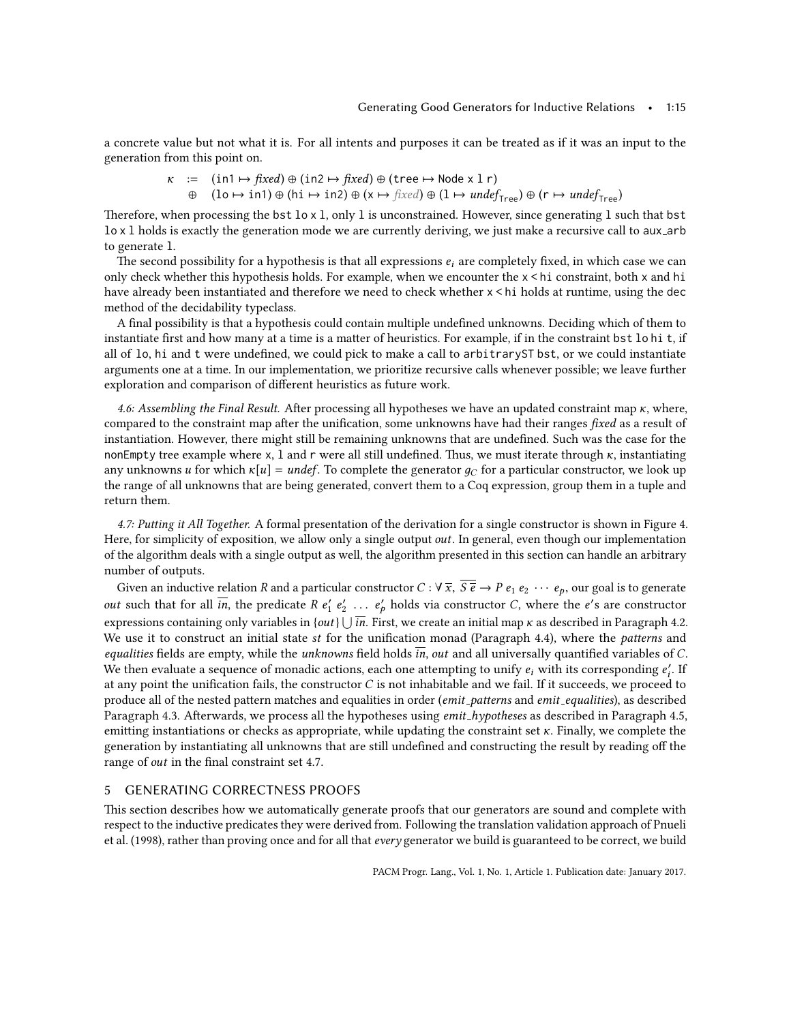a concrete value but not what it is. For all intents and purposes it can be treated as if it was an input to the generation from this point on.

$$
\kappa := (\text{in1} \mapsto \text{fixed}) \oplus (\text{in2} \mapsto \text{fixed}) \oplus (\text{tree} \mapsto \text{Node} \times \text{1 } r)
$$
  
\n
$$
\oplus (\text{lo} \mapsto \text{in1}) \oplus (\text{hi} \mapsto \text{in2}) \oplus (x \mapsto \text{fixed}) \oplus (\text{1} \mapsto \text{under}_{\text{Tree}}) \oplus (r \mapsto \text{under}_{\text{Tree}})
$$

Therefore, when processing the bst  $\log l$ , only 1 is unconstrained. However, since generating 1 such that bst lo x l holds is exactly the generation mode we are currently deriving, we just make a recursive call to aux arb to generate l.

The second possibility for a hypothesis is that all expressions  $e_i$  are completely fixed, in which case we can only check whether this hypothesis holds. For example, when we encounter the x < hi constraint, both x and hi have already been instantiated and therefore we need to check whether x < hi holds at runtime, using the dec method of the decidability typeclass.

A final possibility is that a hypothesis could contain multiple undefined unknowns. Deciding which of them to instantiate first and how many at a time is a matter of heuristics. For example, if in the constraint bst lo hi t, if all of lo, hi and t were undefined, we could pick to make a call to arbitraryST bst, or we could instantiate arguments one at a time. In our implementation, we prioritize recursive calls whenever possible; we leave further exploration and comparison of different heuristics as future work.

[4.](#page-9-0)6: Assembling the Final Result. After processing all hypotheses we have an updated constraint map  $\kappa$ , where, compared to the constraint map after the unification, some unknowns have had their ranges fixed as a result of instantiation. However, there might still be remaining unknowns that are undefined. Such was the case for the nonEmpty tree example where x, 1 and r were all still undefined. Thus, we must iterate through  $\kappa$ , instantiating any unknowns u for which  $\kappa[u] = undef$ . To complete the generator  $q_C$  for a particular constructor, we look up the range of all unknowns that are being generated, convert them to a Coq expression, group them in a tuple and return them.

<span id="page-14-1"></span>[4.](#page-9-0)7: Putting it All Together. A formal presentation of the derivation for a single constructor is shown in Figure [4.](#page-15-0) Here, for simplicity of exposition, we allow only a single output *out*. In general, even though our implementation of the algorithm deals with a single output as well, the algorithm presented in this section can handle an arbitrary number of outputs.

Given an inductive relation R and a particular constructor  $C : \forall \overline{x}, \overline{S} \overline{e} \rightarrow P e_1 e_2 \cdots e_p$ , our goal is to generate *out* such that for all  $\overline{in}$ , the predicate  $R$  e'<sub>1</sub> e'<sub>2</sub> ... e'<sub>p</sub> holds via constructor C, where the e's are constructor expressions containing only variables in  $\{out\} \cup \overline{in}$ . First, we create an initial map  $\kappa$  as described in Paragraph [4](#page-9-0)[.2.](#page-9-1)<br>We use it to construct an initial state of for the unification monad (Paragraph 4.4), where th We use it to construct an initial state st for the unification monad (Paragraph [4.](#page-9-0)[4\)](#page-11-1), where the patterns and equalities fields are empty, while the unknowns field holds  $\overline{in}$ , out and all universally quantified variables of C. We then evaluate a sequence of monadic actions, each one attempting to unify  $e_i$  with its corresponding  $e'_i$ . If at any point the unification fails the constructor C is not inhabitable and we fail. If it succeeds we pro at any point the unification fails, the constructor C is not inhabitable and we fail. If it succeeds, we proceed to<br>produce all of the nested pattern matches and equalities in order (emit, patterns and emit, equalities), a produce all of the nested pattern matches and equalities in order (emit\_patterns and emit\_equalities), as described Paragraph [4.](#page-9-0)[3.](#page-10-1) Afterwards, we process all the hypotheses using emit\_hypotheses as described in Paragraph [4](#page-9-0)[.5,](#page-13-0) emitting instantiations or checks as appropriate, while updating the constraint set  $\kappa$ . Finally, we complete the generation by instantiating all unknowns that are still undefined and constructing the result by reading off the range of *out* in the final constraint set [4.](#page-9-0)[7.](#page-14-1)

#### <span id="page-14-0"></span>5 GENERATING CORRECTNESS PROOFS

This section describes how we automatically generate proofs that our generators are sound and complete with respect to the inductive predicates they were derived from. Following the translation validation approach of [Pnueli](#page-27-7) [et al.](#page-27-7) [\(1998\)](#page-27-7), rather than proving once and for all that every generator we build is guaranteed to be correct, we build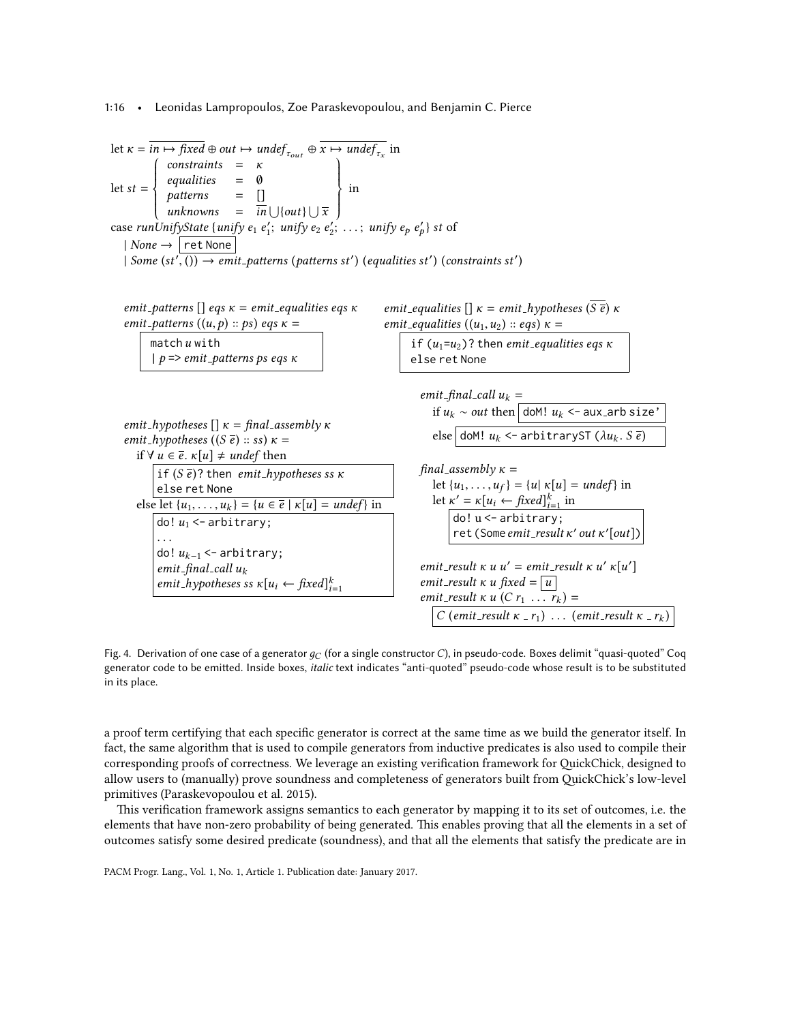1:16 • Leonidas Lampropoulos, Zoe Paraskevopoulou, and Benjamin C. Pierce

<span id="page-15-0"></span>
$$
\text{let } \kappa = \overline{in \mapsto \text{fixed}} \oplus out \mapsto \text{under}_{\tau_{out}} \oplus \overline{x} \mapsto \text{under}_{\tau_x} \text{ in}
$$
\n
$$
\text{let } st = \begin{cases} \text{constraints} & = \kappa \\ \text{equalities} & = 0 \\ \text{patterns} & = \underline{\text{[]}} \\ \text{unknowns} & = \overline{in} \cup \{\text{out}\} \cup \overline{x} \\ \text{case } \text{runUnif} \text{yState} \{ \text{unify } e_1 \ e_1'; \text{ unify } e_2 \ e_2'; \ \dots; \text{ unify } e_p \ e_p' \} \text{st of}
$$
\n
$$
|\text{None } \rightarrow \boxed{\text{ret None}} \\ |\text{Some } (st',()) \rightarrow \text{emit-patters } (\text{patterns } st') \text{ (equalities st')} \text{ (constraints } st') \end{cases}
$$

| emit.patters [] eqs $\kappa$ = emit-equalities eqs $\kappa$                                                                                                                                                                                                                                                        | emit-equalities [] $\kappa$ = emit-hypotheses ( $\overline{S}\overline{e}$ ) $\kappa$ |
|--------------------------------------------------------------------------------------------------------------------------------------------------------------------------------------------------------------------------------------------------------------------------------------------------------------------|---------------------------------------------------------------------------------------|
| emit.patters (u, p) :: ps) eqs $\kappa$ =                                                                                                                                                                                                                                                                          | emit-equalities ((u, u, u) :: eqs) $\kappa$ =                                         |
| match u with<br>$ p \Rightarrow$ emit-patters ps eqs $\kappa$                                                                                                                                                                                                                                                      | if $(u_1 = u_2)$ ? then emit-equalities eqs $\kappa$                                  |
| emit-hypotheses [] $\kappa$ = final-assembl $\kappa$                                                                                                                                                                                                                                                               | emit-final-call $u_k$ =                                                               |
| emit-hypotheses ((S $\overline{e}$ ) :: ss) $\kappa$ =                                                                                                                                                                                                                                                             |                                                                                       |
| if $\forall u \in \overline{e}$ . $\kappa[u] \neq$ under<br>$\{i \in \overline{e}$ for<br>the                                                                                                                                                                                                                      |                                                                                       |
| if $(S\overline{e})$ ? then emit-hypotheses ss $\kappa$                                                                                                                                                                                                                                                            | file {and2assembl $\kappa$ =                                                          |
| else let {u <sub>1</sub> ,...,u <sub>k</sub> } = {u $\in \overline{e}$   $\kappa[u] =$ underf} in<br>let $\kappa'$ = $\kappa[u_i \leftarrow$ fixed] <sup>k</sup> <sub>i=1</sub> in<br>let $\kappa'$ = $\kappa[u_i \leftarrow$ fixed] <sup>k</sup> <sub>i=1</sub> in<br>let (Some emit-result $\kappa u$ <i>u</i> = |                                                                                       |
| edit-final-call $u_k$                                                                                                                                                                                                                                                                                              | emit-result $\kappa u$ <i>u</i> =                                                     |
| emit-hypotheses ss $\kappa[u_i \leftarrow$ fixed] <sup>k</sup> <sub>i=1</sub> in<br>emit-pypotheses ss $\kappa[u_i \leftarrow$ fixed] <sup>k</sup> <sub>i=1</sub> =                                                                                                                                                |                                                                                       |
| emit-result $\$                                                                                                                                                                                                                                                                                                    |                                                                                       |

Fig. 4. Derivation of one case of a generator  $g_C$  (for a single constructor C), in pseudo-code. Boxes delimit "quasi-quoted" Coq generator code to be emitted. Inside boxes, *italic* text indicates "anti-quoted" pseudo-code whose result is to be substituted in its place.

a proof term certifying that each specific generator is correct at the same time as we build the generator itself. In fact, the same algorithm that is used to compile generators from inductive predicates is also used to compile their corresponding proofs of correctness. We leverage an existing verification framework for QuickChick, designed to allow users to (manually) prove soundness and completeness of generators built from QuickChick's low-level primitives [\(Paraskevopoulou et al. 2015\)](#page-27-4).

This verification framework assigns semantics to each generator by mapping it to its set of outcomes, i.e. the elements that have non-zero probability of being generated. This enables proving that all the elements in a set of outcomes satisfy some desired predicate (soundness), and that all the elements that satisfy the predicate are in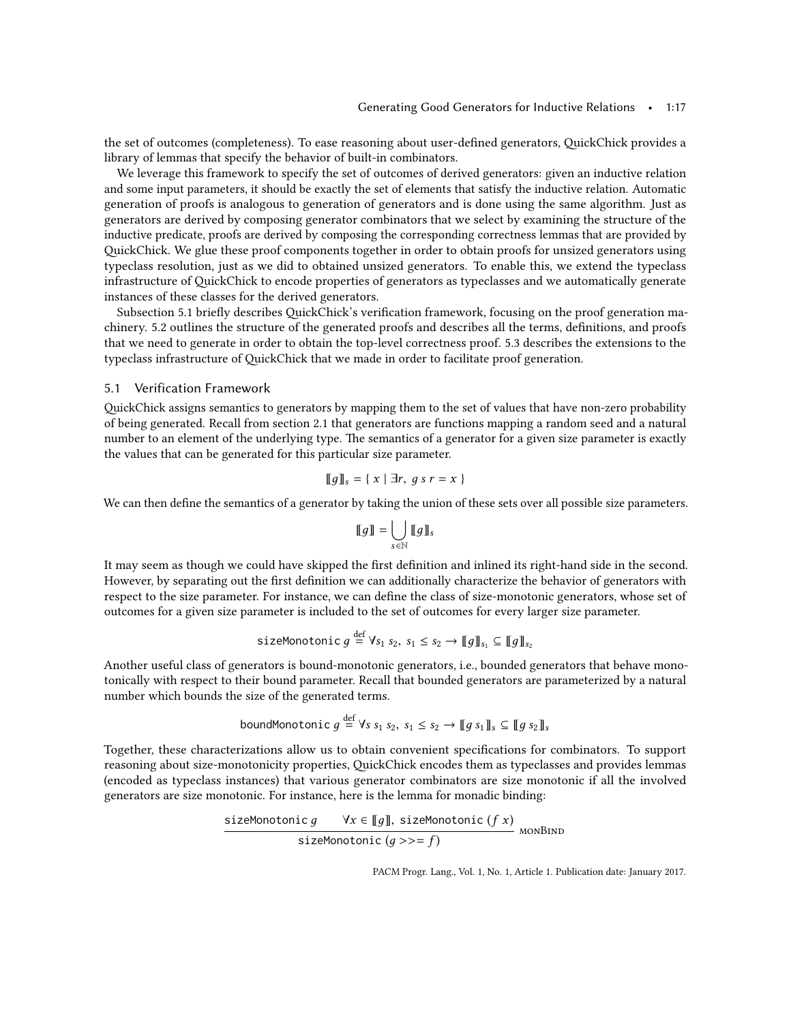the set of outcomes (completeness). To ease reasoning about user-defined generators, QuickChick provides a library of lemmas that specify the behavior of built-in combinators.

We leverage this framework to specify the set of outcomes of derived generators: given an inductive relation and some input parameters, it should be exactly the set of elements that satisfy the inductive relation. Automatic generation of proofs is analogous to generation of generators and is done using the same algorithm. Just as generators are derived by composing generator combinators that we select by examining the structure of the inductive predicate, proofs are derived by composing the corresponding correctness lemmas that are provided by QuickChick. We glue these proof components together in order to obtain proofs for unsized generators using typeclass resolution, just as we did to obtained unsized generators. To enable this, we extend the typeclass infrastructure of QuickChick to encode properties of generators as typeclasses and we automatically generate instances of these classes for the derived generators.

Subsection [5.1](#page-16-0) briefly describes QuickChick's verification framework, focusing on the proof generation ma-chinery. [5.2](#page-17-0) outlines the structure of the generated proofs and describes all the terms, definitions, and proofs that we need to generate in order to obtain the top-level correctness proof. [5.3](#page-19-0) describes the extensions to the typeclass infrastructure of QuickChick that we made in order to facilitate proof generation.

## <span id="page-16-0"></span>5.1 Verification Framework

QuickChick assigns semantics to generators by mapping them to the set of values that have non-zero probability of being generated. Recall from section [2.1](#page-3-0) that generators are functions mapping a random seed and a natural number to an element of the underlying type. The semantics of a generator for a given size parameter is exactly the values that can be generated for this particular size parameter.

$$
[\![g]\!]_s = \{ x \mid \exists r, g \ s \ r = x \}
$$

We can then define the semantics of a generator by taking the union of these sets over all possible size parameters.

$$
\llbracket g \rrbracket = \bigcup_{s \in \mathbb{N}} \llbracket g \rrbracket_s
$$

It may seem as though we could have skipped the first definition and inlined its right-hand side in the second. However, by separating out the first definition we can additionally characterize the behavior of generators with respect to the size parameter. For instance, we can define the class of size-monotonic generators, whose set of outcomes for a given size parameter is included to the set of outcomes for every larger size parameter.

$$
\texttt{sizeMonotonic}\ g \stackrel{\text{def}}{=} \forall s_1\ s_2,\ s_1 \leq s_2 \rightarrow \llbracket g \rrbracket_{s_1} \subseteq \llbracket g \rrbracket_{s_2}
$$

Another useful class of generators is bound-monotonic generators, i.e., bounded generators that behave monotonically with respect to their bound parameter. Recall that bounded generators are parameterized by a natural number which bounds the size of the generated terms.

$$
\text{boundMonotonic } g \stackrel{\text{def}}{=} \forall s \ s_1 \ s_2, \ s_1 \leq s_2 \rightarrow \llbracket g \ s_1 \rrbracket_s \subseteq \llbracket g \ s_2 \rrbracket_s
$$

Together, these characterizations allow us to obtain convenient specifications for combinators. To support reasoning about size-monotonicity properties, QuickChick encodes them as typeclasses and provides lemmas (encoded as typeclass instances) that various generator combinators are size monotonic if all the involved generators are size monotonic. For instance, here is the lemma for monadic binding:

sizeMonotonic 
$$
g
$$
  $\forall x \in [[g]],$  sizeMonotonic  $(f x)$   
sizeMonotonic  $(g \gg)= f)$ MONBIND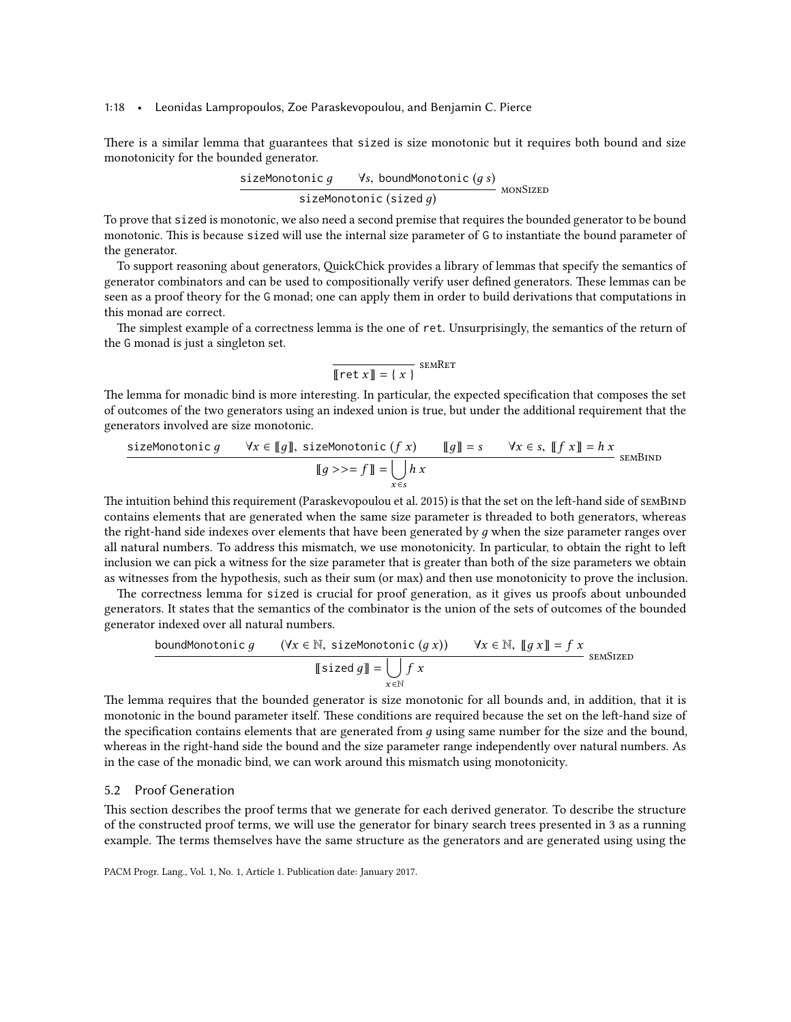## 1:18 • Leonidas Lampropoulos, Zoe Paraskevopoulou, and Benjamin C. Pierce

There is a similar lemma that guarantees that sized is size monotonic but it requires both bound and size monotonicity for the bounded generator.

$$
\frac{\text{sizeMonotonic } g \qquad \forall s, \text{ boundMonotonic } (g \text{ s})}{\text{sizeMonotonic } (\text{sized } g)}
$$

To prove that sized is monotonic, we also need a second premise that requires the bounded generator to be bound monotonic. This is because sized will use the internal size parameter of G to instantiate the bound parameter of the generator.

To support reasoning about generators, QuickChick provides a library of lemmas that specify the semantics of generator combinators and can be used to compositionally verify user defined generators. These lemmas can be seen as a proof theory for the G monad; one can apply them in order to build derivations that computations in this monad are correct.

The simplest example of a correctness lemma is the one of ret. Unsurprisingly, the semantics of the return of the G monad is just a singleton set.

$$
\boxed{\text{ret } x \rrbracket = \{ x \}} \text{semRef}
$$

The lemma for monadic bind is more interesting. In particular, the expected specification that composes the set of outcomes of the two generators using an indexed union is true, but under the additional requirement that the generators involved are size monotonic.

sizeMonotonic 
$$
g
$$
  $\forall x \in [[g]]$ , sizeMonotonic  $(f x)$   $[[g]] = s$   $\forall x \in s$ ,  $[[f x]] = h x$   
 $[[g \gg f]] = \bigcup_{x \in s} h x$ 

The intuition behind this requirement [\(Paraskevopoulou et al.](#page-27-4) [2015\)](#page-27-4) is that the set on the left-hand side of semBind contains elements that are generated when the same size parameter is threaded to both generators, whereas the right-hand side indexes over elements that have been generated by  $q$  when the size parameter ranges over all natural numbers. To address this mismatch, we use monotonicity. In particular, to obtain the right to le inclusion we can pick a witness for the size parameter that is greater than both of the size parameters we obtain as witnesses from the hypothesis, such as their sum (or max) and then use monotonicity to prove the inclusion.

The correctness lemma for sized is crucial for proof generation, as it gives us proofs about unbounded generators. It states that the semantics of the combinator is the union of the sets of outcomes of the bounded generator indexed over all natural numbers.

boundMonotonic 
$$
g
$$
 (  $\forall x \in \mathbb{N}$ , sizeMonotonic  $(g x)$ )  $\forall x \in \mathbb{N}$ ,  $[[g x]] = f x$ 

\n[ $\text{size } g \parallel = \bigcup_{x \in \mathbb{N}} f x$ 

\n5.13.25.25

 $x \in \mathbb{N}$ <br>The lemma requires that the bounded generator is size monotonic for all bounds and, in addition, that it is monotonic in the bound parameter itself. These conditions are required because the set on the left-hand size of the specification contains elements that are generated from  $q$  using same number for the size and the bound, whereas in the right-hand side the bound and the size parameter range independently over natural numbers. As in the case of the monadic bind, we can work around this mismatch using monotonicity.

## <span id="page-17-0"></span>5.2 Proof Generation

This section describes the proof terms that we generate for each derived generator. To describe the structure of the constructed proof terms, we will use the generator for binary search trees presented in [3](#page-6-0) as a running example. The terms themselves have the same structure as the generators and are generated using using the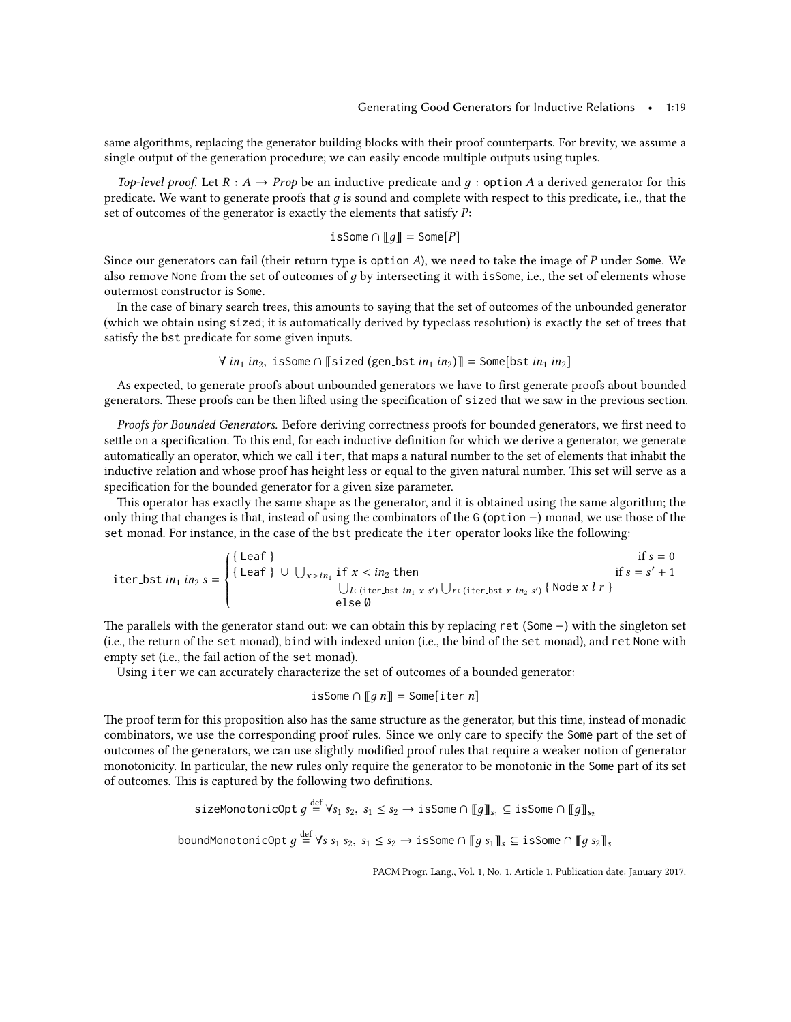same algorithms, replacing the generator building blocks with their proof counterparts. For brevity, we assume a single output of the generation procedure; we can easily encode multiple outputs using tuples.

Top-level proof. Let  $R : A \rightarrow Prop$  be an inductive predicate and g : option A a derived generator for this predicate. We want to generate proofs that  $g$  is sound and complete with respect to this predicate, i.e., that the set of outcomes of the generator is exactly the elements that satisfy  $P$ :

$$
\texttt{isSome} \cap \llbracket g \rrbracket = \texttt{Some}[P]
$$

Since our generators can fail (their return type is option A), we need to take the image of P under Some. We also remove None from the set of outcomes of  $q$  by intersecting it with is Some, i.e., the set of elements whose outermost constructor is Some.

In the case of binary search trees, this amounts to saying that the set of outcomes of the unbounded generator (which we obtain using sized; it is automatically derived by typeclass resolution) is exactly the set of trees that satisfy the bst predicate for some given inputs.

$$
\forall in_1 in_2, \text{ is} \textsf{Some} \cap \llbracket \textsf{-sized (gen_bst} in_1 in_2) \rrbracket = \textsf{Some[bst} in_1 in_2]
$$

As expected, to generate proofs about unbounded generators we have to first generate proofs about bounded generators. These proofs can be then lifted using the specification of sized that we saw in the previous section.

Proofs for Bounded Generators. Before deriving correctness proofs for bounded generators, we first need to settle on a specification. To this end, for each inductive definition for which we derive a generator, we generate automatically an operator, which we call iter, that maps a natural number to the set of elements that inhabit the inductive relation and whose proof has height less or equal to the given natural number. This set will serve as a specification for the bounded generator for a given size parameter.

This operator has exactly the same shape as the generator, and it is obtained using the same algorithm; the only thing that changes is that, instead of using the combinators of the G (option −) monad, we use those of the set monad. For instance, in the case of the bst predicate the iter operator looks like the following:

iter\_bst in<sub>1</sub> in<sub>2</sub> s =   
\n
$$
\begin{cases}\n\{\text{Leaf }\} \cup \bigcup_{x > in_1} \text{if } x < in_2 \text{ then} \\
\bigcup_{l \in (\text{iter_bst } in_1 x s')} \bigcup_{r \in (\text{iter_bst } x in_2 s')} \{\text{Node } x l r\} \\
\text{else } \emptyset\n\end{cases}
$$
if s = 0 if s = s' + 1

e parallels with the generator stand out: we can obtain this by replacing ret (Some −) with the singleton set (i.e., the return of the set monad), bind with indexed union (i.e., the bind of the set monad), and ret None with empty set (i.e., the fail action of the set monad).

Using iter we can accurately characterize the set of outcomes of a bounded generator:

isSome 
$$
\cap
$$
 [[g n]] = Some[iter n]

The proof term for this proposition also has the same structure as the generator, but this time, instead of monadic combinators, we use the corresponding proof rules. Since we only care to specify the Some part of the set of outcomes of the generators, we can use slightly modified proof rules that require a weaker notion of generator monotonicity. In particular, the new rules only require the generator to be monotonic in the Some part of its set of outcomes. This is captured by the following two definitions.

sizeMonotonicOpt 
$$
g \stackrel{\text{def}}{=} \forall s_1 \ s_2, \ s_1 \le s_2 \rightarrow \text{isSome} \cap [\![g]\!]_{s_1} \subseteq \text{isSome} \cap [\![g]\!]_{s_2}
$$
  
boundMonotonicOpt  $g \stackrel{\text{def}}{=} \forall s \ s_1 \ s_2, \ s_1 \le s_2 \rightarrow \text{isSome} \cap [\![g \ s_1]\!]_s \subseteq \text{isSome} \cap [\![g \ s_2]\!]_s$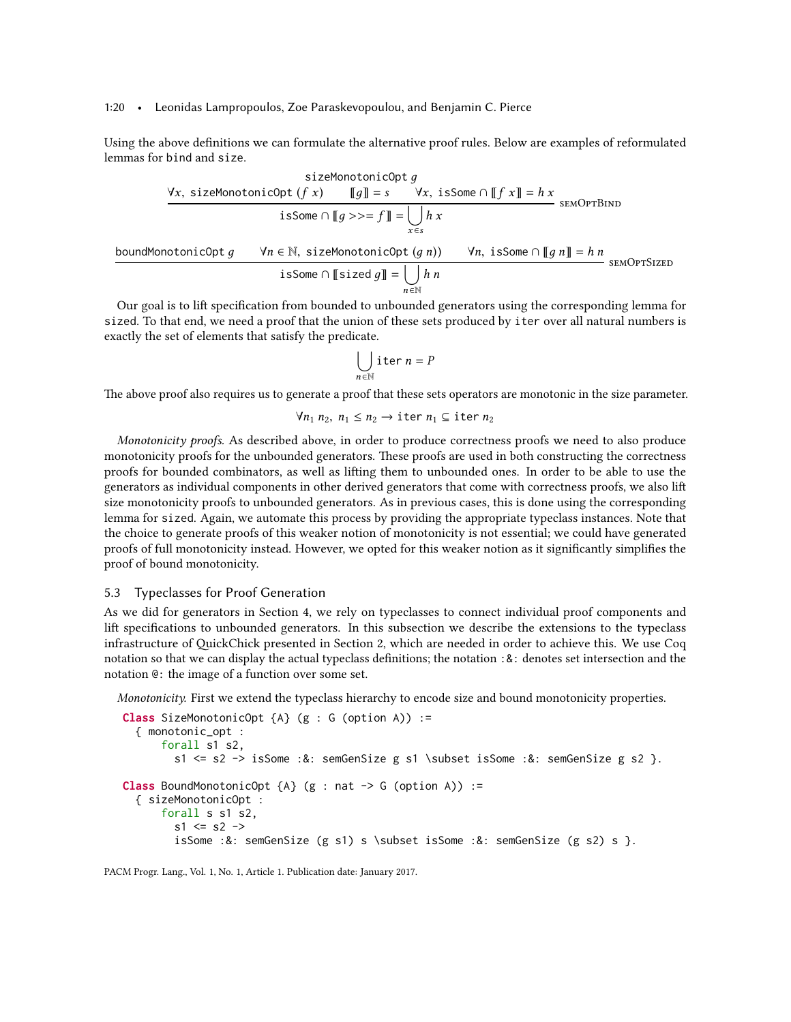### 1:20 • Leonidas Lampropoulos, Zoe Paraskevopoulou, and Benjamin C. Pierce

Using the above definitions we can formulate the alternative proof rules. Below are examples of reformulated lemmas for bind and size.

sizeMonotonicOpt *g*  
\n
$$
\forall x, \text{ sizeMonotonicOpt}(f x) \quad [[g]] = s \quad \forall x, \text{ isSome } \cap [[f x]] = h x
$$
  
\nisSome  $\cap [[g \gg 0]] = \bigcup_{x \in s} h x$   
\nboundMonotonicOpt *g*  $\forall n \in \mathbb{N}, \text{ sizeMonotonicOpt}(g n)) \quad \forall n, \text{ isSome } \cap [[g n]] = h n$   
\nisSome  $\cap [[\text{size } g]] = \bigcup_{n \in \mathbb{N}} h n$   
\nOur goal is to lift specification from bounded to unbounded generators using the corresponding lemma for

sized. To that end, we need a proof that the union of these sets produced by iter over all natural numbers is exactly the set of elements that satisfy the predicate.

$$
\bigcup_{n\in\mathbb{N}}\text{iter }n=P
$$

The above proof also requires us to generate a proof that these sets operators are monotonic in the size parameter.

$$
\forall n_1 \; n_2, \; n_1 \leq n_2 \rightarrow \text{iter } n_1 \subseteq \text{iter } n_2
$$

Monotonicity proofs. As described above, in order to produce correctness proofs we need to also produce monotonicity proofs for the unbounded generators. These proofs are used in both constructing the correctness proofs for bounded combinators, as well as lifting them to unbounded ones. In order to be able to use the generators as individual components in other derived generators that come with correctness proofs, we also li size monotonicity proofs to unbounded generators. As in previous cases, this is done using the corresponding lemma for sized. Again, we automate this process by providing the appropriate typeclass instances. Note that the choice to generate proofs of this weaker notion of monotonicity is not essential; we could have generated proofs of full monotonicity instead. However, we opted for this weaker notion as it signicantly simplies the proof of bound monotonicity.

## <span id="page-19-0"></span>5.3 Typeclasses for Proof Generation

As we did for generators in Section [4,](#page-9-0) we rely on typeclasses to connect individual proof components and lift specifications to unbounded generators. In this subsection we describe the extensions to the typeclass infrastructure of QuickChick presented in Section [2,](#page-2-0) which are needed in order to achieve this. We use Coq notation so that we can display the actual typeclass denitions; the notation :&: denotes set intersection and the notation @: the image of a function over some set.

Monotonicity. First we extend the typeclass hierarchy to encode size and bound monotonicity properties.

```
Class SizeMonotonicOpt {A} (g : G (option A)) :=
  { monotonic_opt :
      forall s1 s2,
        s1 <= s2 -> isSome :&: semGenSize g s1 \subset isSome :&: semGenSize g s2 }.
Class BoundMonotonicOpt {A} (g : nat -> G (option A)) :=
  { sizeMonotonicOpt :
      forall s s1 s2,
        s1 \leq s2 \impliesisSome :&: semGenSize (g s1) s \subset isSome :&: semGenSize (g s2) s }.
```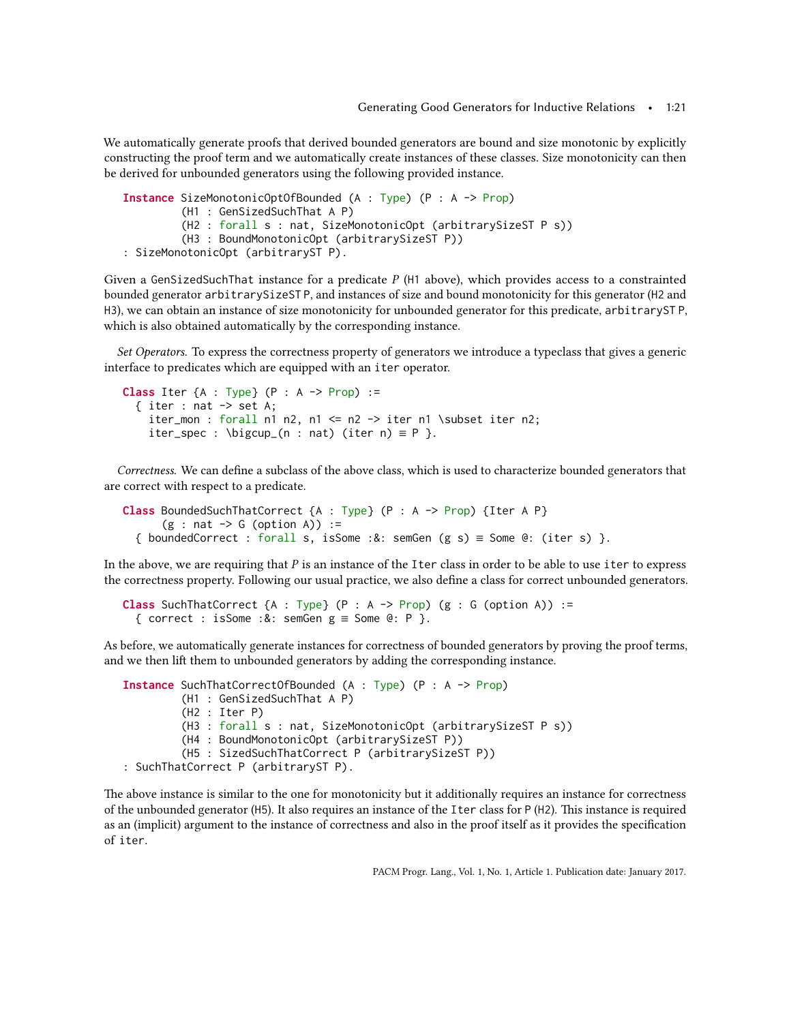We automatically generate proofs that derived bounded generators are bound and size monotonic by explicitly constructing the proof term and we automatically create instances of these classes. Size monotonicity can then be derived for unbounded generators using the following provided instance.

```
Instance SizeMonotonicOptOfBounded (A : Type) (P : A -> Prop)
         (H1 : GenSizedSuchThat A P)
         (H2 : forall s : nat, SizeMonotonicOpt (arbitrarySizeST P s))
         (H3 : BoundMonotonicOpt (arbitrarySizeST P))
: SizeMonotonicOpt (arbitraryST P).
```
Given a GenSizedSuchThat instance for a predicate  $P$  (H1 above), which provides access to a constrainted bounded generator arbitrarySizeST P, and instances of size and bound monotonicity for this generator (H2 and H3), we can obtain an instance of size monotonicity for unbounded generator for this predicate, arbitraryST P, which is also obtained automatically by the corresponding instance.

Set Operators. To express the correctness property of generators we introduce a typeclass that gives a generic interface to predicates which are equipped with an iter operator.

```
Class Iter \{A : Type\} (P : A \rightarrow Prop) :={ iter : nat \rightarrow set A;
    iter_mon : forall n1 n2, n1 <= n2 -> iter n1 \subset iter n2;
    iter_spec : \bigcup_{n=1}^{\infty} (iter n) = P }.
```
Correctness. We can define a subclass of the above class, which is used to characterize bounded generators that are correct with respect to a predicate.

```
Class BoundedSuchThatCorrect {A : Type} (P : A -> Prop) {Iter A P}
      (g : nat \rightarrow G (option A)) :={ boundedCorrect : forall s, isSome :&: semGen (g s) \equiv Some @: (iter s) }.
```
In the above, we are requiring that  $P$  is an instance of the Iter class in order to be able to use iter to express the correctness property. Following our usual practice, we also define a class for correct unbounded generators.

```
Class SuchThatCorrect {A : Type} (P : A -> Prop) (g : G (option A)) :=
  { correct : isSome :&: semGen g \equiv Some @: P }.
```
As before, we automatically generate instances for correctness of bounded generators by proving the proof terms, and we then lift them to unbounded generators by adding the corresponding instance.

```
Instance SuchThatCorrectOfBounded (A : Type) (P : A -> Prop)
         (H1 : GenSizedSuchThat A P)
         (H2 : Iter P)
         (H3 : forall s : nat, SizeMonotonicOpt (arbitrarySizeST P s))
         (H4 : BoundMonotonicOpt (arbitrarySizeST P))
         (H5 : SizedSuchThatCorrect P (arbitrarySizeST P))
: SuchThatCorrect P (arbitraryST P).
```
The above instance is similar to the one for monotonicity but it additionally requires an instance for correctness of the unbounded generator (H5). It also requires an instance of the Iter class for  $P$  (H2). This instance is required as an (implicit) argument to the instance of correctness and also in the proof itself as it provides the specification of iter.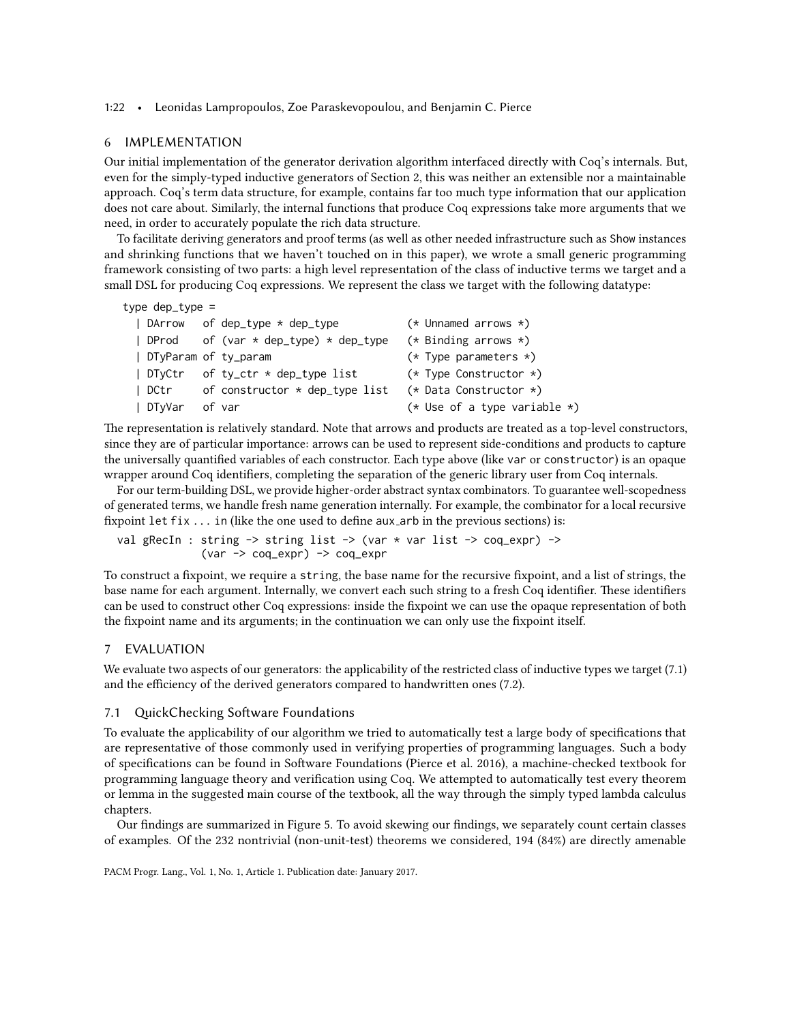#### 1:22 • Leonidas Lampropoulos, Zoe Paraskevopoulou, and Benjamin C. Pierce

# <span id="page-21-0"></span>6 IMPLEMENTATION

Our initial implementation of the generator derivation algorithm interfaced directly with Coq's internals. But, even for the simply-typed inductive generators of Section [2,](#page-2-0) this was neither an extensible nor a maintainable approach. Coq's term data structure, for example, contains far too much type information that our application does not care about. Similarly, the internal functions that produce Coq expressions take more arguments that we need, in order to accurately populate the rich data structure.

To facilitate deriving generators and proof terms (as well as other needed infrastructure such as Show instances and shrinking functions that we haven't touched on in this paper), we wrote a small generic programming framework consisting of two parts: a high level representation of the class of inductive terms we target and a small DSL for producing Coq expressions. We represent the class we target with the following datatype:

```
type dep_type =
```

|                      | DArrow of dep_type * dep_type      | $(*$ Unnamed arrows $*)$     |
|----------------------|------------------------------------|------------------------------|
| l DProd              | of (var $*$ dep_type) $*$ dep_type | (* Binding arrows *)         |
| DTyParam of ty_param |                                    | $(*$ Type parameters $*)$    |
|                      | DTyCtr of ty_ctr * dep_type list   | $(*$ Type Constructor $*)$   |
| ∣ DCtr               | of constructor $*$ dep_type list   | (* Data Constructor *)       |
| ∣ DTyVar             | of var                             | (* Use of a type variable *) |

The representation is relatively standard. Note that arrows and products are treated as a top-level constructors, since they are of particular importance: arrows can be used to represent side-conditions and products to capture the universally quantified variables of each constructor. Each type above (like var or constructor) is an opaque wrapper around Coq identifiers, completing the separation of the generic library user from Coq internals.

For our term-building DSL, we provide higher-order abstract syntax combinators. To guarantee well-scopedness of generated terms, we handle fresh name generation internally. For example, the combinator for a local recursive fixpoint let  $fix \dots$  in (like the one used to define aux arb in the previous sections) is:

val gRecIn : string  $\rightarrow$  string list  $\rightarrow$  (var \* var list  $\rightarrow$  coq\_expr)  $\rightarrow$ (var -> coq\_expr) -> coq\_expr

To construct a fixpoint, we require a string, the base name for the recursive fixpoint, and a list of strings, the base name for each argument. Internally, we convert each such string to a fresh Coq identifier. These identifiers can be used to construct other Coq expressions: inside the fixpoint we can use the opaque representation of both the fixpoint name and its arguments; in the continuation we can only use the fixpoint itself.

### <span id="page-21-2"></span>7 EVALUATION

We evaluate two aspects of our generators: the applicability of the restricted class of inductive types we target [\(7.1\)](#page-21-1) and the efficiency of the derived generators compared to handwritten ones [\(7.2\)](#page-23-0).

#### <span id="page-21-1"></span>7.1 QuickChecking Software Foundations

To evaluate the applicability of our algorithm we tried to automatically test a large body of specifications that are representative of those commonly used in verifying properties of programming languages. Such a body of specifications can be found in Software Foundations [\(Pierce et al.](#page-27-8) [2016\)](#page-27-8), a machine-checked textbook for programming language theory and verification using Coq. We attempted to automatically test every theorem or lemma in the suggested main course of the textbook, all the way through the simply typed lambda calculus chapters.

Our findings are summarized in Figure [5.](#page-22-0) To avoid skewing our findings, we separately count certain classes of examples. Of the 232 nontrivial (non-unit-test) theorems we considered, 194 (84%) are directly amenable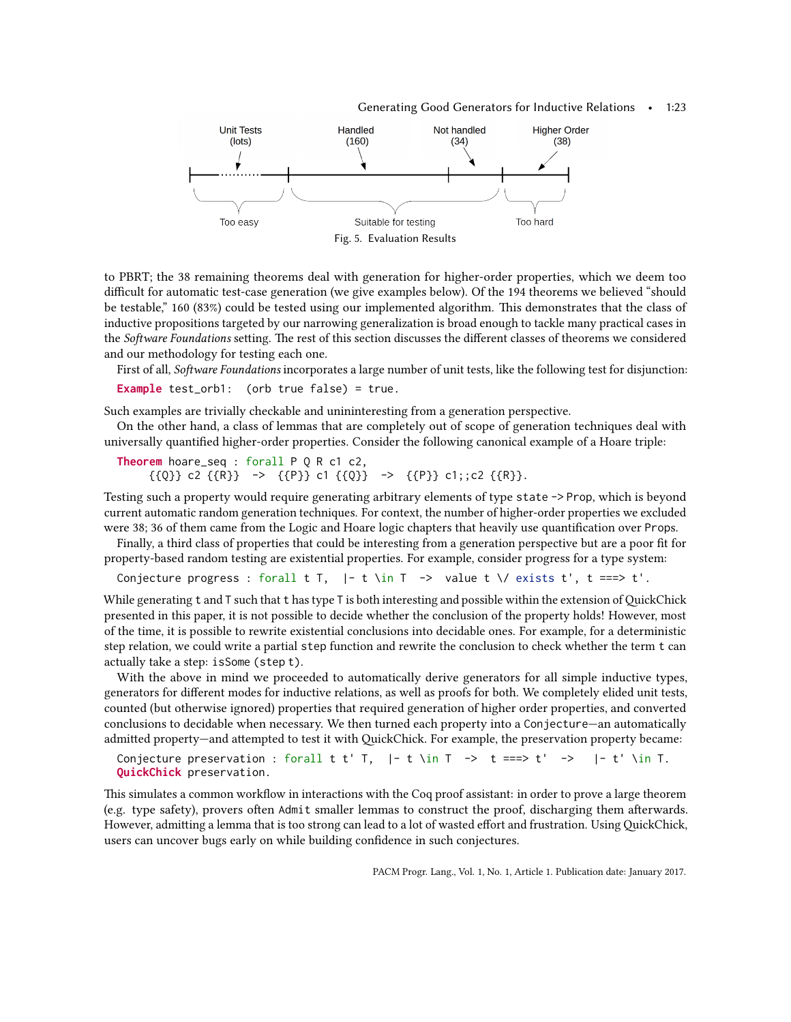<span id="page-22-0"></span>

Fig. 5. Evaluation Results

to PBRT; the 38 remaining theorems deal with generation for higher-order properties, which we deem too difficult for automatic test-case generation (we give examples below). Of the 194 theorems we believed "should be testable," 160 (83%) could be tested using our implemented algorithm. This demonstrates that the class of inductive propositions targeted by our narrowing generalization is broad enough to tackle many practical cases in the Software Foundations setting. The rest of this section discusses the different classes of theorems we considered and our methodology for testing each one.

First of all, Software Foundations incorporates a large number of unit tests, like the following test for disjunction: **Example** test\_orb1: (orb true false) = true.

Such examples are trivially checkable and unininteresting from a generation perspective.

On the other hand, a class of lemmas that are completely out of scope of generation techniques deal with universally quantified higher-order properties. Consider the following canonical example of a Hoare triple:

**Theorem** hoare\_seq : forall P Q R c1 c2,  ${\{Q\}}$  c2  ${\{R\}}$  ->  ${\{P\}}$  c1  ${\{Q\}}$  ->  ${\{P\}}$  c1;;c2  ${\{R\}}$ .

Testing such a property would require generating arbitrary elements of type state -> Prop, which is beyond current automatic random generation techniques. For context, the number of higher-order properties we excluded were 38; 36 of them came from the Logic and Hoare logic chapters that heavily use quantification over Props.

Finally, a third class of properties that could be interesting from a generation perspective but are a poor fit for property-based random testing are existential properties. For example, consider progress for a type system:

```
Conjecture progress : forall t T, |-t \setminus \text{in } T \rightarrow \text{value } t \setminus \text{exists } t', t ==> t'.
```
While generating  $t$  and  $T$  such that  $t$  has type  $T$  is both interesting and possible within the extension of QuickChick presented in this paper, it is not possible to decide whether the conclusion of the property holds! However, most of the time, it is possible to rewrite existential conclusions into decidable ones. For example, for a deterministic step relation, we could write a partial step function and rewrite the conclusion to check whether the term t can actually take a step: isSome (step t).

With the above in mind we proceeded to automatically derive generators for all simple inductive types, generators for different modes for inductive relations, as well as proofs for both. We completely elided unit tests, counted (but otherwise ignored) properties that required generation of higher order properties, and converted conclusions to decidable when necessary. We then turned each property into a Conjecture—an automatically admitted property—and attempted to test it with QuickChick. For example, the preservation property became:

```
Conjecture preservation : forall t t' T, |-t \int \ln T -> t ===> t' -> |-t' \int \ln T.
QuickChick preservation.
```
This simulates a common workflow in interactions with the Coq proof assistant: in order to prove a large theorem (e.g. type safety), provers often Admit smaller lemmas to construct the proof, discharging them afterwards. However, admitting a lemma that is too strong can lead to a lot of wasted effort and frustration. Using QuickChick, users can uncover bugs early on while building confidence in such conjectures.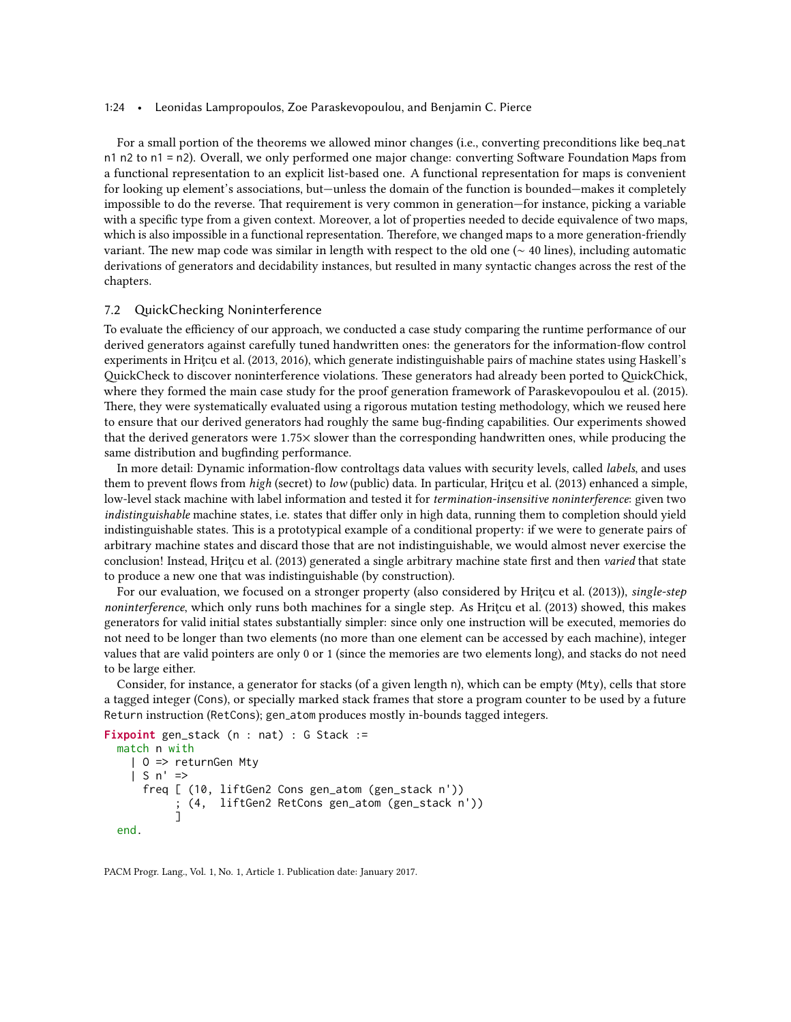#### 1:24 • Leonidas Lampropoulos, Zoe Paraskevopoulou, and Benjamin C. Pierce

For a small portion of the theorems we allowed minor changes (i.e., converting preconditions like beq nat n1 n2 to n1 = n2). Overall, we only performed one major change: converting Software Foundation Maps from a functional representation to an explicit list-based one. A functional representation for maps is convenient for looking up element's associations, but—unless the domain of the function is bounded—makes it completely impossible to do the reverse. That requirement is very common in generation—for instance, picking a variable with a specific type from a given context. Moreover, a lot of properties needed to decide equivalence of two maps, which is also impossible in a functional representation. Therefore, we changed maps to a more generation-friendly variant. The new map code was similar in length with respect to the old one ( $\sim$  40 lines), including automatic derivations of generators and decidability instances, but resulted in many syntactic changes across the rest of the chapters.

## <span id="page-23-0"></span>7.2 QuickChecking Noninterference

To evaluate the efficiency of our approach, we conducted a case study comparing the runtime performance of our derived generators against carefully tuned handwritten ones: the generators for the information-flow control experiments in Hritçu et al. [\(2013,](#page-26-6) [2016\)](#page-26-7), which generate indistinguishable pairs of machine states using Haskell's QuickCheck to discover noninterference violations. These generators had already been ported to QuickChick, where they formed the main case study for the proof generation framework of [Paraskevopoulou et al.](#page-27-4) [\(2015\)](#page-27-4). There, they were systematically evaluated using a rigorous mutation testing methodology, which we reused here to ensure that our derived generators had roughly the same bug-finding capabilities. Our experiments showed that the derived generators were 1.75× slower than the corresponding handwritten ones, while producing the same distribution and bugfinding performance.

In more detail: Dynamic information-flow controltags data values with security levels, called labels, and uses them to prevent flows from *high* (secret) to *low* (public) data. In particular, Hritçu et al. [\(2013\)](#page-26-6) enhanced a simple, low-level stack machine with label information and tested it for termination-insensitive noninterference: given two indistinguishable machine states, i.e. states that differ only in high data, running them to completion should yield indistinguishable states. This is a prototypical example of a conditional property: if we were to generate pairs of arbitrary machine states and discard those that are not indistinguishable, we would almost never exercise the conclusion! Instead, Hritçu et al. [\(2013\)](#page-26-6) generated a single arbitrary machine state first and then varied that state to produce a new one that was indistinguishable (by construction).

For our evaluation, we focused on a stronger property (also considered by Hrit<sub>cu</sub> et al. [\(2013\)](#page-26-6)), single-step noninterference, which only runs both machines for a single step. As Hritçu et al. [\(2013\)](#page-26-6) showed, this makes generators for valid initial states substantially simpler: since only one instruction will be executed, memories do not need to be longer than two elements (no more than one element can be accessed by each machine), integer values that are valid pointers are only 0 or 1 (since the memories are two elements long), and stacks do not need to be large either.

Consider, for instance, a generator for stacks (of a given length n), which can be empty (Mty), cells that store a tagged integer (Cons), or specially marked stack frames that store a program counter to be used by a future Return instruction (RetCons); gen\_atom produces mostly in-bounds tagged integers.

```
Fixpoint gen_stack (n : nat) : G Stack :=
```

```
match n with
 | O => returnGen Mty
  | S n' \Rightarrowfreq [ (10, liftGen2 Cons gen_atom (gen_stack n'))
         ; (4, liftGen2 RetCons gen_atom (gen_stack n'))
         ]
end.
```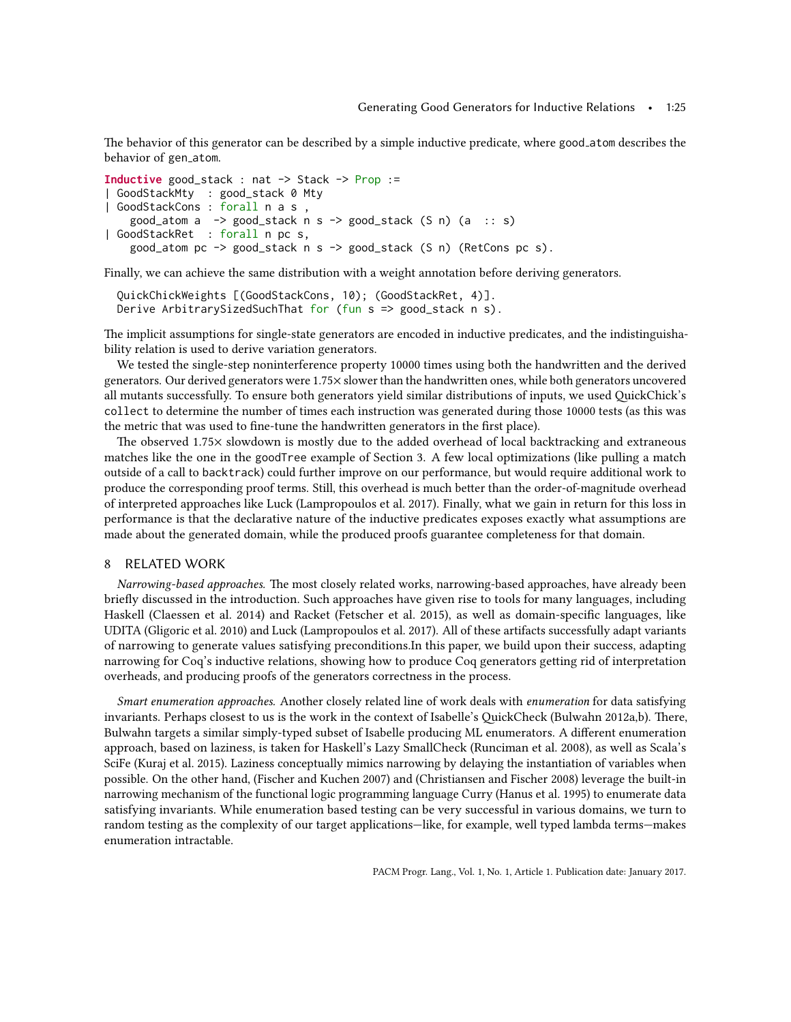The behavior of this generator can be described by a simple inductive predicate, where good\_atom describes the behavior of gen\_atom.

```
Inductive good_stack : nat -> Stack -> Prop :=
| GoodStackMty : good_stack 0 Mty
| GoodStackCons : forall n a s ,
   good_atom a -> good_stack n s -> good_stack (S n) (a :: s)
| GoodStackRet : forall n pc s,
   good_atom pc -> good_stack n s -> good_stack (S n) (RetCons pc s).
```
Finally, we can achieve the same distribution with a weight annotation before deriving generators.

```
QuickChickWeights [(GoodStackCons, 10); (GoodStackRet, 4)].
Derive ArbitrarySizedSuchThat for (fun s => good_stack n s).
```
The implicit assumptions for single-state generators are encoded in inductive predicates, and the indistinguishability relation is used to derive variation generators.

We tested the single-step noninterference property 10000 times using both the handwritten and the derived generators. Our derived generators were 1.75× slower than the handwritten ones, while both generators uncovered all mutants successfully. To ensure both generators yield similar distributions of inputs, we used QuickChick's collect to determine the number of times each instruction was generated during those 10000 tests (as this was the metric that was used to fine-tune the handwritten generators in the first place).

The observed 1.75× slowdown is mostly due to the added overhead of local backtracking and extraneous matches like the one in the goodTree example of Section [3.](#page-6-0) A few local optimizations (like pulling a match outside of a call to backtrack) could further improve on our performance, but would require additional work to produce the corresponding proof terms. Still, this overhead is much better than the order-of-magnitude overhead of interpreted approaches like Luck [\(Lampropoulos et al.](#page-27-6) [2017\)](#page-27-6). Finally, what we gain in return for this loss in performance is that the declarative nature of the inductive predicates exposes exactly what assumptions are made about the generated domain, while the produced proofs guarantee completeness for that domain.

#### <span id="page-24-0"></span>8 RELATED WORK

Narrowing-based approaches. The most closely related works, narrowing-based approaches, have already been briefly discussed in the introduction. Such approaches have given rise to tools for many languages, including Haskell [\(Claessen et al.](#page-26-9) [2014\)](#page-26-9) and Racket [\(Fetscher et al.](#page-26-10) [2015\)](#page-26-10), as well as domain-specific languages, like UDITA [\(Gligoric et al.](#page-26-11) [2010\)](#page-26-11) and Luck [\(Lampropoulos et al.](#page-27-6) [2017\)](#page-27-6). All of these artifacts successfully adapt variants of narrowing to generate values satisfying preconditions.In this paper, we build upon their success, adapting narrowing for Coq's inductive relations, showing how to produce Coq generators getting rid of interpretation overheads, and producing proofs of the generators correctness in the process.

Smart enumeration approaches. Another closely related line of work deals with enumeration for data satisfying invariants. Perhaps closest to us is the work in the context of Isabelle's QuickCheck [\(Bulwahn 2012a,](#page-26-3)[b\)](#page-26-8). There, Bulwahn targets a similar simply-typed subset of Isabelle producing ML enumerators. A different enumeration approach, based on laziness, is taken for Haskell's Lazy SmallCheck [\(Runciman et al.](#page-27-12) [2008\)](#page-27-12), as well as Scala's SciFe [\(Kuraj et al.](#page-27-13) [2015\)](#page-27-13). Laziness conceptually mimics narrowing by delaying the instantiation of variables when possible. On the other hand, [\(Fischer and Kuchen 2007\)](#page-26-15) and [\(Christiansen and Fischer 2008\)](#page-26-16) leverage the built-in narrowing mechanism of the functional logic programming language Curry [\(Hanus et al.](#page-26-17) [1995\)](#page-26-17) to enumerate data satisfying invariants. While enumeration based testing can be very successful in various domains, we turn to random testing as the complexity of our target applications—like, for example, well typed lambda terms—makes enumeration intractable.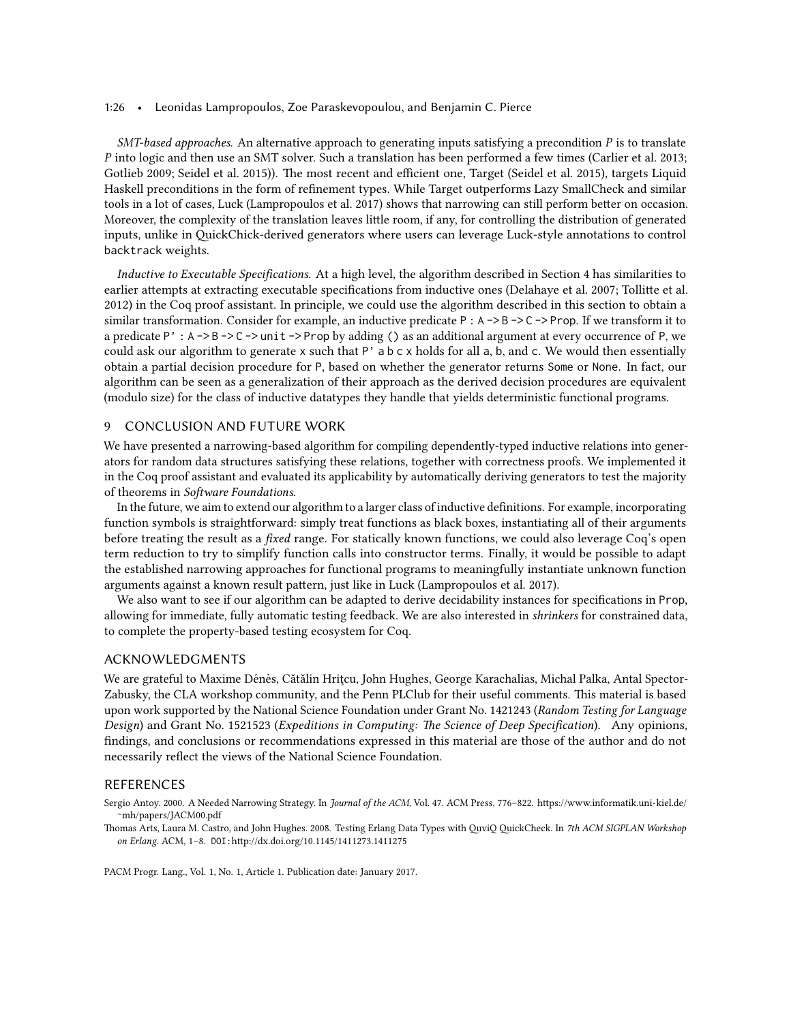#### 1:26 • Leonidas Lampropoulos, Zoe Paraskevopoulou, and Benjamin C. Pierce

 $SMT-based approaches$ . An alternative approach to generating inputs satisfying a precondition  $P$  is to translate P into logic and then use an SMT solver. Such a translation has been performed a few times [\(Carlier et al. 2013;](#page-26-18) [Gotlieb 2009;](#page-26-19) [Seidel et al.](#page-27-14) [2015\)](#page-27-14)). The most recent and efficient one, Target [\(Seidel et al.](#page-27-14) 2015), targets Liquid Haskell preconditions in the form of refinement types. While Target outperforms Lazy SmallCheck and similar tools in a lot of cases, Luck [\(Lampropoulos et al.](#page-27-6) [2017\)](#page-27-6) shows that narrowing can still perform better on occasion. Moreover, the complexity of the translation leaves little room, if any, for controlling the distribution of generated inputs, unlike in QuickChick-derived generators where users can leverage Luck-style annotations to control backtrack weights.

Inductive to Executable Specifications. At a high level, the algorithm described in Section [4](#page-9-0) has similarities to earlier attempts at extracting executable specifications from inductive ones [\(Delahaye et al.](#page-26-20) [2007;](#page-26-20) Tollitte et al. [2012\)](#page-27-15) in the Coq proof assistant. In principle, we could use the algorithm described in this section to obtain a similar transformation. Consider for example, an inductive predicate  $P : A \rightarrow B \rightarrow C \rightarrow Prop.$  If we transform it to a predicate P' : A -> B -> C -> unit -> Prop by adding () as an additional argument at every occurrence of P, we could ask our algorithm to generate x such that  $P'$  a b c x holds for all a, b, and c. We would then essentially obtain a partial decision procedure for P, based on whether the generator returns Some or None. In fact, our algorithm can be seen as a generalization of their approach as the derived decision procedures are equivalent (modulo size) for the class of inductive datatypes they handle that yields deterministic functional programs.

# <span id="page-25-2"></span>9 CONCLUSION AND FUTURE WORK

We have presented a narrowing-based algorithm for compiling dependently-typed inductive relations into generators for random data structures satisfying these relations, together with correctness proofs. We implemented it in the Coq proof assistant and evaluated its applicability by automatically deriving generators to test the majority of theorems in Software Foundations.

In the future, we aim to extend our algorithm to a larger class of inductive definitions. For example, incorporating function symbols is straightforward: simply treat functions as black boxes, instantiating all of their arguments before treating the result as a fixed range. For statically known functions, we could also leverage Coq's open term reduction to try to simplify function calls into constructor terms. Finally, it would be possible to adapt the established narrowing approaches for functional programs to meaningfully instantiate unknown function arguments against a known result pattern, just like in Luck [\(Lampropoulos et al. 2017\)](#page-27-6).

We also want to see if our algorithm can be adapted to derive decidability instances for specifications in Prop, allowing for immediate, fully automatic testing feedback. We are also interested in shrinkers for constrained data, to complete the property-based testing ecosystem for Coq.

## ACKNOWLEDGMENTS

We are grateful to Maxime Dénès, Cătălin Hritcu, John Hughes, George Karachalias, Michal Palka, Antal Spector-Zabusky, the CLA workshop community, and the Penn PLClub for their useful comments. This material is based upon work supported by the National Science Foundation under Grant No. 1421243 (Random Testing for Language Design) and Grant No. 1521523 (Expeditions in Computing: The Science of Deep Specification). Any opinions, findings, and conclusions or recommendations expressed in this material are those of the author and do not necessarily reflect the views of the National Science Foundation.

#### REFERENCES

<span id="page-25-1"></span>Sergio Antoy. 2000. A Needed Narrowing Strategy. In Journal of the ACM, Vol. 47. ACM Press, 776-822. https://www.informatik.uni-kiel.de/ ∼[mh/papers/JACM00.pdf](https://www.informatik.uni-kiel.de/~mh/papers/JACM00.pdf)

<span id="page-25-0"></span>Thomas Arts, Laura M. Castro, and John Hughes. 2008. Testing Erlang Data Types with QuviQ QuickCheck. In 7th ACM SIGPLAN Workshop on Erlang. ACM, 1-8. DOI:http://dx.doi.org/10.1145/1411273.1411275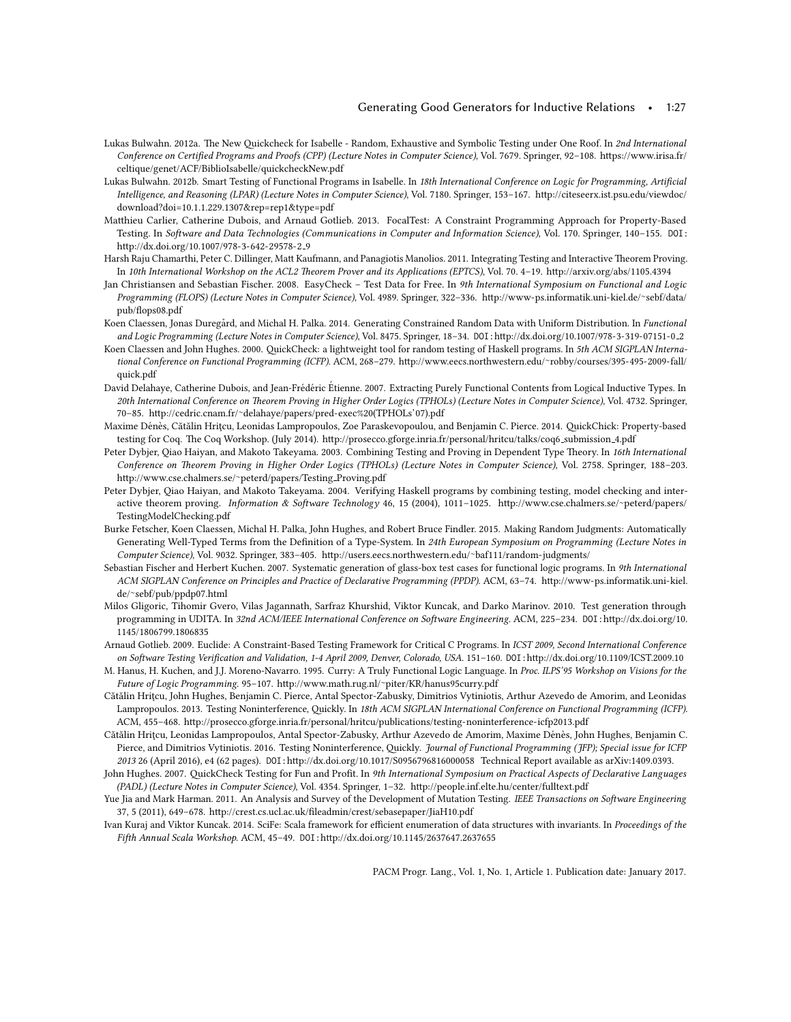- <span id="page-26-3"></span>Lukas Bulwahn. 2012a. The New Quickcheck for Isabelle - Random, Exhaustive and Symbolic Testing under One Roof. In 2nd International Conference on Certified Programs and Proofs (CPP) (Lecture Notes in Computer Science), Vol. 7679. Springer, 92-108. https://www.irisa.fr/ [celtique/genet/ACF/BiblioIsabelle/quickcheckNew.pdf](https://www.irisa.fr/celtique/genet/ACF/BiblioIsabelle/quickcheckNew.pdf)
- <span id="page-26-8"></span>Lukas Bulwahn. 2012b. Smart Testing of Functional Programs in Isabelle. In 18th International Conference on Logic for Programming, Artificial Intelligence, and Reasoning (LPAR) (Lecture Notes in Computer Science), Vol. 7180. Springer, 153-167. http://citeseerx.ist.psu.edu/viewdoc/ [download?doi=10.1.1.229.1307&rep=rep1&type=pdf](http://citeseerx.ist.psu.edu/viewdoc/download?doi=10.1.1.229.1307&rep=rep1&type=pdf)
- <span id="page-26-18"></span>Mahieu Carlier, Catherine Dubois, and Arnaud Gotlieb. 2013. FocalTest: A Constraint Programming Approach for Property-Based Testing. In Software and Data Technologies (Communications in Computer and Information Science), Vol. 170. Springer, 140-155. DOI: [hp://dx.doi.org/10.1007/978-3-642-29578-2](http://dx.doi.org/10.1007/978-3-642-29578-2_9) 9
- <span id="page-26-2"></span>Harsh Raju Chamarthi, Peter C. Dillinger, Matt Kaufmann, and Panagiotis Manolios. 2011. Integrating Testing and Interactive Theorem Proving. In 10th International Workshop on the ACL2 Theorem Prover and its Applications (EPTCS), Vol. 70. 4-19. http://arxiv.org/abs/1105.4394
- <span id="page-26-16"></span>Jan Christiansen and Sebastian Fischer. 2008. EasyCheck - Test Data for Free. In 9th International Symposium on Functional and Logic Programming (FLOPS) (Lecture Notes in Computer Science), Vol. 4989. Springer, 322–336. [hp://www-ps.informatik.uni-kiel.de/](http://www-ps.informatik.uni-kiel.de/~sebf/data/pub/flops08.pdf)∼sebf/data/ pub/flops08.pdf
- <span id="page-26-9"></span>Koen Claessen, Jonas Duregård, and Michal H. Palka. 2014. Generating Constrained Random Data with Uniform Distribution. In Functional and Logic Programming (Lecture Notes in Computer Science), Vol. 8475. Springer, 18–34. DOI:[hp://dx.doi.org/10.1007/978-3-319-07151-0](http://dx.doi.org/10.1007/978-3-319-07151-0_2) 2
- <span id="page-26-0"></span>Koen Claessen and John Hughes. 2000. QuickCheck: a lightweight tool for random testing of Haskell programs. In 5th ACM SIGPLAN International Conference on Functional Programming (ICFP). ACM, 268-279. http://www.eecs.northwestern.edu/~robby/courses/395-495-2009-fall/ [quick.pdf](http://www.eecs.northwestern.edu/~robby/courses/395-495-2009-fall/quick.pdf)
- <span id="page-26-20"></span>David Delahaye, Catherine Dubois, and Jean-Frédéric Étienne. 2007. Extracting Purely Functional Contents from Logical Inductive Types. In 20th International Conference on Theorem Proving in Higher Order Logics (TPHOLs) (Lecture Notes in Computer Science), Vol. 4732. Springer, 70-85. http://cedric.cnam.fr/~[delahaye/papers/pred-exec%20\(TPHOLs'07\).pdf](http://cedric.cnam.fr/~delahaye/papers/pred-exec%20(TPHOLs)
- <span id="page-26-14"></span>Maxime Dénès, Cătălin Hrițcu, Leonidas Lampropoulos, Zoe Paraskevopoulou, and Benjamin C. Pierce. 2014. QuickChick: Property-based testing for Coq. The Coq Workshop. (July 2014). http://prosecco.gforge.inria.fr/personal/hritcu/talks/coq6\_submission\_4.pdf
- <span id="page-26-5"></span>Peter Dybjer, Qiao Haiyan, and Makoto Takeyama. 2003. Combining Testing and Proving in Dependent Type Theory. In 16th International Conference on Theorem Proving in Higher Order Logics (TPHOLs) (Lecture Notes in Computer Science), Vol. 2758. Springer, 188-203. [hp://www.cse.chalmers.se/](http://www.cse.chalmers.se/~peterd/papers/Testing_Proving.pdf)∼peterd/papers/Testing Proving.pdf
- <span id="page-26-4"></span>Peter Dybjer, Qiao Haiyan, and Makoto Takeyama. 2004. Verifying Haskell programs by combining testing, model checking and interactive theorem proving. Information & Software Technology 46, 15 (2004), 1011-1025. http://www.cse.chalmers.se/~peterd/papers/ [TestingModelChecking.pdf](http://www.cse.chalmers.se/~peterd/papers/TestingModelChecking.pdf)
- <span id="page-26-10"></span>Burke Fetscher, Koen Claessen, Michal H. Palka, John Hughes, and Robert Bruce Findler. 2015. Making Random Judgments: Automatically Generating Well-Typed Terms from the Definition of a Type-System. In 24th European Symposium on Programming (Lecture Notes in Computer Science), Vol. 9032. Springer, 383-405. http://users.eecs.northwestern.edu/∼baf111/random-judgments/
- <span id="page-26-15"></span>Sebastian Fischer and Herbert Kuchen. 2007. Systematic generation of glass-box test cases for functional logic programs. In 9th International ACM SIGPLAN Conference on Principles and Practice of Declarative Programming (PPDP). ACM, 63-74. http://www-ps.informatik.uni-kiel. de/∼[sebf/pub/ppdp07.html](http://www-ps.informatik.uni-kiel.de/~sebf/pub/ppdp07.html)
- <span id="page-26-11"></span>Milos Gligoric, Tihomir Gvero, Vilas Jagannath, Sarfraz Khurshid, Viktor Kuncak, and Darko Marinov. 2010. Test generation through programming in UDITA. In 32nd ACM/IEEE International Conference on Software Engineering. ACM, 225-234. DOI:http://dx.doi.org/10. [1145/1806799.1806835](http://dx.doi.org/10.1145/1806799.1806835)
- <span id="page-26-19"></span>Arnaud Gotlieb. 2009. Euclide: A Constraint-Based Testing Framework for Critical C Programs. In ICST 2009, Second International Conference on Software Testing Verification and Validation, 1-4 April 2009, Denver, Colorado, USA. 151-160. DOI:http://dx.doi.org/10.1109/ICST.2009.10
- <span id="page-26-17"></span>M. Hanus, H. Kuchen, and J.J. Moreno-Navarro. 1995. Curry: A Truly Functional Logic Language. In Proc. ILPS'95 Workshop on Visions for the Future of Logic Programming. 95–107. http://www.math.rug.nl/∼[piter/KR/hanus95curry.pdf](http://www.math.rug.nl/~piter/KR/hanus95curry.pdf)
- <span id="page-26-6"></span>Cătălin Hrițcu, John Hughes, Benjamin C. Pierce, Antal Spector-Zabusky, Dimitrios Vytiniotis, Arthur Azevedo de Amorim, and Leonidas Lampropoulos. 2013. Testing Noninterference, Quickly. In 18th ACM SIGPLAN International Conference on Functional Programming (ICFP). ACM, 455-468. http://prosecco.gforge.inria.fr/personal/hritcu/publications/testing-noninterference-icfp2013.pdf
- <span id="page-26-7"></span>Cătălin Hrițcu, Leonidas Lampropoulos, Antal Spector-Zabusky, Arthur Azevedo de Amorim, Maxime Dénès, John Hughes, Benjamin C. Pierce, and Dimitrios Vytiniotis. 2016. Testing Noninterference, Quickly. Journal of Functional Programming (JFP); Special issue for ICFP 2013 26 (April 2016), e4 (62 pages). DOI:[hp://dx.doi.org/10.1017/S0956796816000058](http://dx.doi.org/10.1017/S0956796816000058) Technical Report available as arXiv:1409.0393.
- <span id="page-26-1"></span>John Hughes. 2007. QuickCheck Testing for Fun and Profit. In 9th International Symposium on Practical Aspects of Declarative Languages (PADL) (Lecture Notes in Computer Science), Vol. 4354. Springer, 1-32. http://people.inf.elte.hu/center/fulltext.pdf
- <span id="page-26-13"></span>Yue Jia and Mark Harman. 2011. An Analysis and Survey of the Development of Mutation Testing. IEEE Transactions on Software Engineering 37, 5 (2011), 649-678. http://crest.cs.ucl.ac.uk/fileadmin/crest/sebasepaper/JiaH10.pdf
- <span id="page-26-12"></span>Ivan Kuraj and Viktor Kuncak. 2014. SciFe: Scala framework for efficient enumeration of data structures with invariants. In Proceedings of the Fih Annual Scala Workshop. ACM, 45–49. DOI:[hp://dx.doi.org/10.1145/2637647.2637655](http://dx.doi.org/10.1145/2637647.2637655)